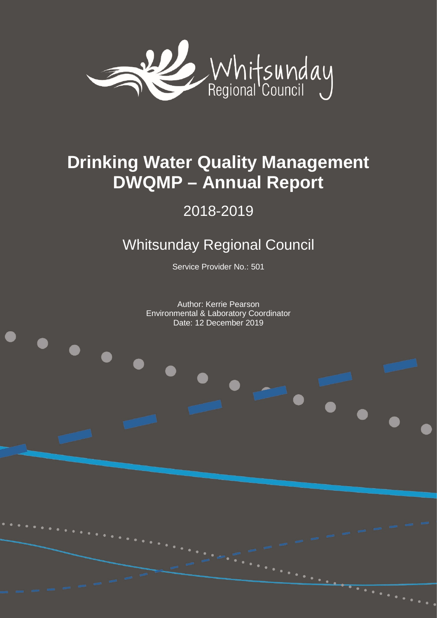

### **Drinking Water Quality Management DWQMP – Annual Report**

### 2018-2019

### Whitsunday Regional Council

Service Provider No.: 501

Author: Kerrie Pearson Environmental & Laboratory Coordinator Date: 12 December 2019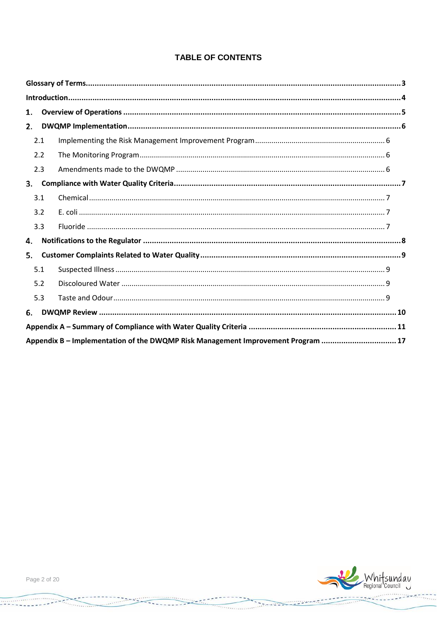#### **TABLE OF CONTENTS**

| 1. |     |                                                                                 |  |
|----|-----|---------------------------------------------------------------------------------|--|
| 2. |     |                                                                                 |  |
|    | 2.1 |                                                                                 |  |
|    | 2.2 |                                                                                 |  |
|    | 2.3 |                                                                                 |  |
| 3. |     |                                                                                 |  |
|    | 3.1 |                                                                                 |  |
|    | 3.2 |                                                                                 |  |
|    | 3.3 |                                                                                 |  |
| 4. |     |                                                                                 |  |
| 5. |     |                                                                                 |  |
|    | 5.1 |                                                                                 |  |
|    | 5.2 |                                                                                 |  |
|    | 5.3 |                                                                                 |  |
| 6. |     |                                                                                 |  |
|    |     |                                                                                 |  |
|    |     | Appendix B – Implementation of the DWQMP Risk Management Improvement Program 17 |  |



 $- - - - - - - - - - - - -$ 

 $\overbrace{\hspace{25mm}}$ 

<u>1980 - Johann John Stein, mars and deutscher President (d. 1989)</u>

<u>Grammatical Contract</u>

 $\omega_{\perp}$ 

**The Leaders** 

 $-7$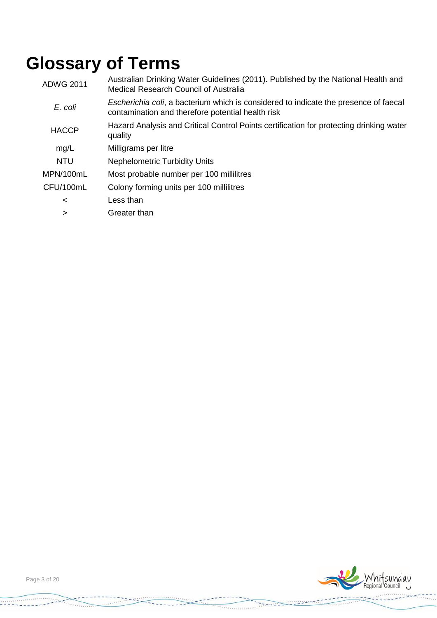# <span id="page-2-0"></span>**Glossary of Terms**

| <b>ADWG 2011</b> | Australian Drinking Water Guidelines (2011). Published by the National Health and<br>Medical Research Council of Australia                |
|------------------|-------------------------------------------------------------------------------------------------------------------------------------------|
| E. coli          | Escherichia coli, a bacterium which is considered to indicate the presence of faecal<br>contamination and therefore potential health risk |
| <b>HACCP</b>     | Hazard Analysis and Critical Control Points certification for protecting drinking water<br>quality                                        |
| mg/L             | Milligrams per litre                                                                                                                      |
| <b>NTU</b>       | <b>Nephelometric Turbidity Units</b>                                                                                                      |
| MPN/100mL        | Most probable number per 100 millilitres                                                                                                  |
| CFU/100mL        | Colony forming units per 100 millilitres                                                                                                  |
| $\prec$          | Less than                                                                                                                                 |
|                  | 0.                                                                                                                                        |

> Greater than



 $- - - - -$ 

 $\sim -$ 

-------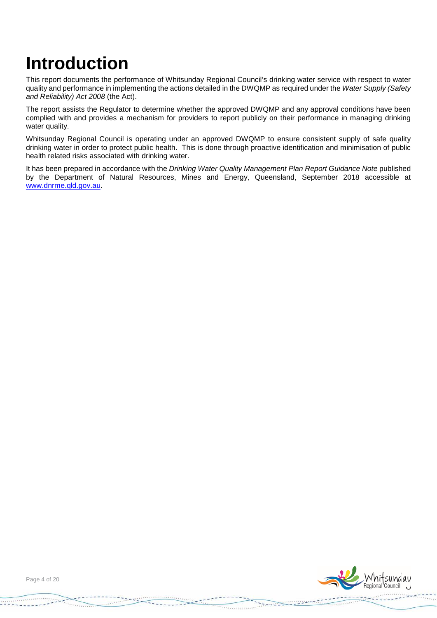### <span id="page-3-0"></span>**Introduction**

This report documents the performance of Whitsunday Regional Council's drinking water service with respect to water quality and performance in implementing the actions detailed in the DWQMP as required under the *Water Supply (Safety and Reliability) Act 2008* (the Act).

The report assists the Regulator to determine whether the approved DWQMP and any approval conditions have been complied with and provides a mechanism for providers to report publicly on their performance in managing drinking water quality.

Whitsunday Regional Council is operating under an approved DWQMP to ensure consistent supply of safe quality drinking water in order to protect public health. This is done through proactive identification and minimisation of public health related risks associated with drinking water.

It has been prepared in accordance with the *Drinking Water Quality Management Plan Report Guidance Note* published by the Department of Natural Resources, Mines and Energy, Queensland, September 2018 accessible at [www.dnrme.qld.gov.au.](http://www.dnrme.qld.gov.au/)



**TANCE** 

 $1.1.1.1.1.1.1.1$ 

**TERRIT**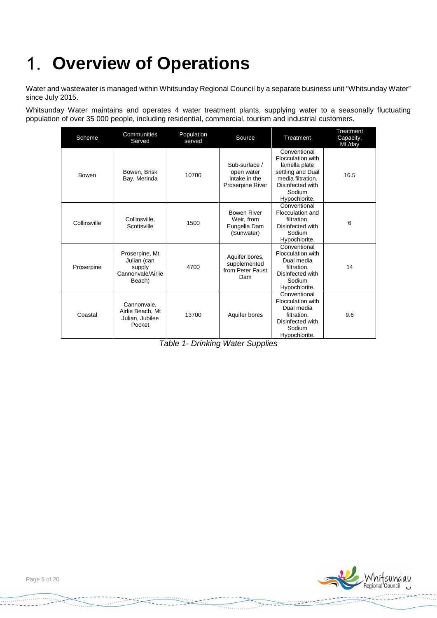#### <span id="page-4-0"></span> $1.$ **Overview of Operations**

Water and wastewater is managed within Whitsunday Regional Council by a separate business unit "Whitsunday Water" since July 2015.

Whitsunday Water maintains and operates 4 water treatment plants, supplying water to a seasonally fluctuating population of over 35 000 people, including residential, commercial, tourism and industrial customers.

| Scheme       | Communities<br>Served                                                  | Population<br>served | Source                                                           | Treatment                                                                                                                                   | Treatment<br>Capacity,<br>ML/day |
|--------------|------------------------------------------------------------------------|----------------------|------------------------------------------------------------------|---------------------------------------------------------------------------------------------------------------------------------------------|----------------------------------|
| Bowen        | Bowen, Brisk<br>Bay, Merinda                                           | 10700                | Sub-surface /<br>open water<br>intake in the<br>Proserpine River | Conventional<br>Flocculation with<br>lamella plate<br>settling and Dual<br>media filtration.<br>Disinfected with<br>Sodium<br>Hypochlorite. | 16.5                             |
| Collinsville | Collinsville,<br>Scottsville                                           | 1500                 | <b>Bowen River</b><br>Weir, from<br>Eungella Dam<br>(Sunwater)   | Conventional<br>Flocculation and<br>filtration.<br>Disinfected with<br>Sodium<br>Hypochlorite.                                              | 6                                |
| Proserpine   | Proserpine, Mt<br>Julian (can<br>supply<br>Cannonvale/Airlie<br>Beach) | 4700                 | Aquifer bores,<br>supplemented<br>from Peter Faust<br>Dam        | Conventional<br>Flocculation with<br>Dual media<br>filtration.<br>Disinfected with<br>Sodium<br>Hypochlorite.                               | 14                               |
| Coastal      | Cannonvale.<br>Airlie Beach, Mt<br>Julian, Jubilee<br>Pocket           | 13700                | Aquifer bores                                                    | Conventional<br><b>Flocculation with</b><br>Dual media<br>filtration.<br>Disinfected with<br>Sodium<br>Hypochlorite.                        | 9.6                              |

*Table 1- Drinking Water Supplies*

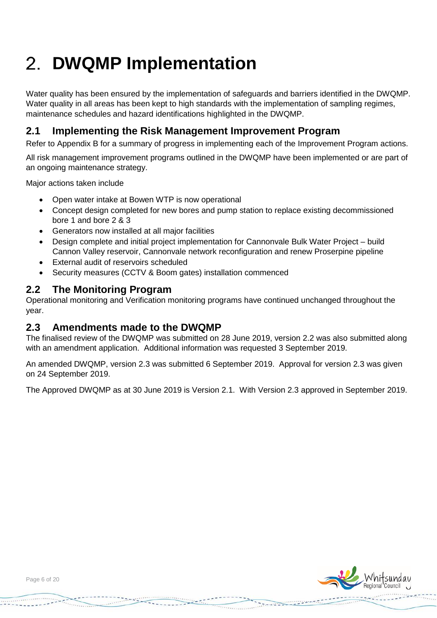# <span id="page-5-0"></span>**DWQMP Implementation**

Water quality has been ensured by the implementation of safeguards and barriers identified in the DWQMP. Water quality in all areas has been kept to high standards with the implementation of sampling regimes, maintenance schedules and hazard identifications highlighted in the DWQMP.

#### <span id="page-5-1"></span>**2.1 Implementing the Risk Management Improvement Program**

Refer to Appendix B for a summary of progress in implementing each of the Improvement Program actions.

All risk management improvement programs outlined in the DWQMP have been implemented or are part of an ongoing maintenance strategy.

Major actions taken include

- Open water intake at Bowen WTP is now operational
- Concept design completed for new bores and pump station to replace existing decommissioned bore 1 and bore 2 & 3
- Generators now installed at all major facilities
- Design complete and initial project implementation for Cannonvale Bulk Water Project build Cannon Valley reservoir, Cannonvale network reconfiguration and renew Proserpine pipeline
- External audit of reservoirs scheduled
- Security measures (CCTV & Boom gates) installation commenced

#### <span id="page-5-2"></span>**2.2 The Monitoring Program**

Operational monitoring and Verification monitoring programs have continued unchanged throughout the year.

#### <span id="page-5-3"></span>**2.3 Amendments made to the DWQMP**

The finalised review of the DWQMP was submitted on 28 June 2019, version 2.2 was also submitted along with an amendment application. Additional information was requested 3 September 2019.

An amended DWQMP, version 2.3 was submitted 6 September 2019. Approval for version 2.3 was given on 24 September 2019.

The Approved DWQMP as at 30 June 2019 is Version 2.1. With Version 2.3 approved in September 2019.



**SANTONIA**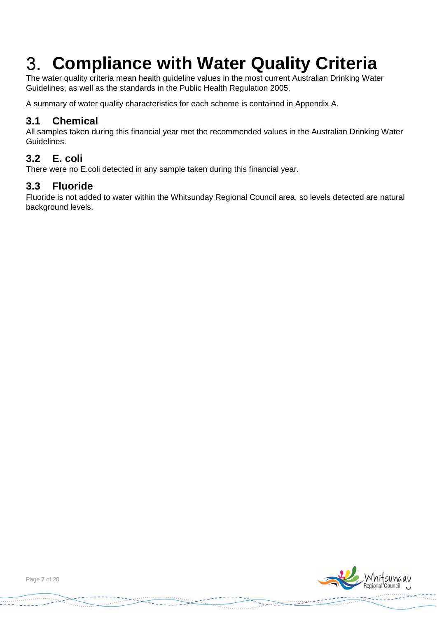#### <span id="page-6-0"></span>3. **Compliance with Water Quality Criteria**

The water quality criteria mean health guideline values in the most current Australian Drinking Water Guidelines, as well as the standards in the Public Health Regulation 2005.

A summary of water quality characteristics for each scheme is contained in Appendix A.

#### <span id="page-6-1"></span>**3.1 Chemical**

All samples taken during this financial year met the recommended values in the Australian Drinking Water Guidelines.

#### <span id="page-6-2"></span>**3.2 E. coli**

There were no E.coli detected in any sample taken during this financial year.

#### <span id="page-6-3"></span>**3.3 Fluoride**

Fluoride is not added to water within the Whitsunday Regional Council area, so levels detected are natural background levels.



**SALES AND ADDRESS**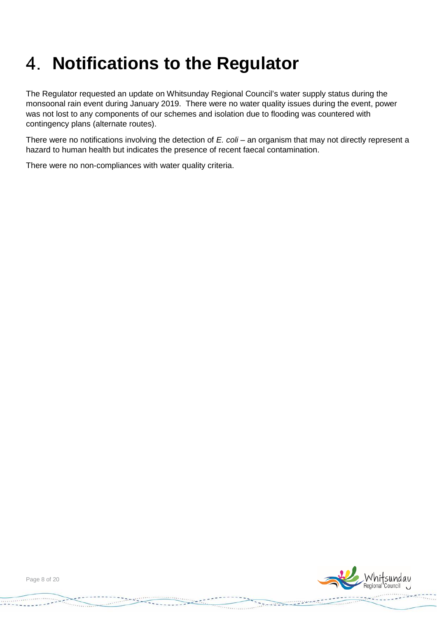## <span id="page-7-0"></span>**Notifications to the Regulator**

The Regulator requested an update on Whitsunday Regional Council's water supply status during the monsoonal rain event during January 2019. There were no water quality issues during the event, power was not lost to any components of our schemes and isolation due to flooding was countered with contingency plans (alternate routes).

There were no notifications involving the detection of *E. coli* – an organism that may not directly represent a hazard to human health but indicates the presence of recent faecal contamination.

There were no non-compliances with water quality criteria.



**TANK OF**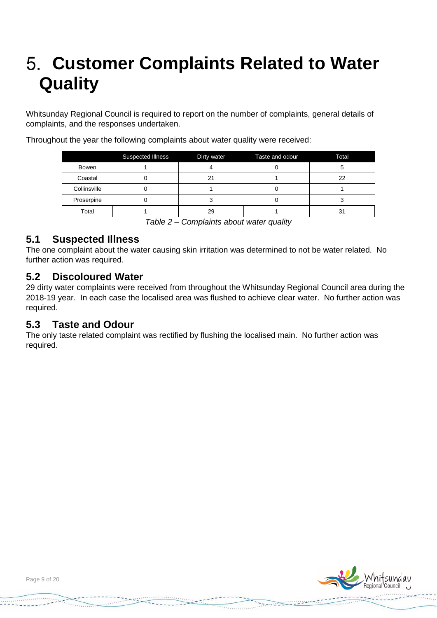## <span id="page-8-0"></span>**Customer Complaints Related to Water Quality**

Whitsunday Regional Council is required to report on the number of complaints, general details of complaints, and the responses undertaken.

|              | <b>Suspected Illness</b> | Dirty water | Taste and odour | Total |
|--------------|--------------------------|-------------|-----------------|-------|
| Bowen        |                          |             |                 |       |
| Coastal      |                          | 21          |                 | 22    |
| Collinsville | ບ                        |             |                 |       |
| Proserpine   |                          |             |                 |       |
| Total        |                          | 29          |                 | 31    |

Throughout the year the following complaints about water quality were received:

*Table 2 – Complaints about water quality*

#### <span id="page-8-1"></span>**5.1 Suspected Illness**

The one complaint about the water causing skin irritation was determined to not be water related. No further action was required.

#### <span id="page-8-2"></span>**5.2 Discoloured Water**

29 dirty water complaints were received from throughout the Whitsunday Regional Council area during the 2018-19 year. In each case the localised area was flushed to achieve clear water. No further action was required.

#### <span id="page-8-3"></span>**5.3 Taste and Odour**

The only taste related complaint was rectified by flushing the localised main. No further action was required.



**CONSTRUCTION** 

**Communication**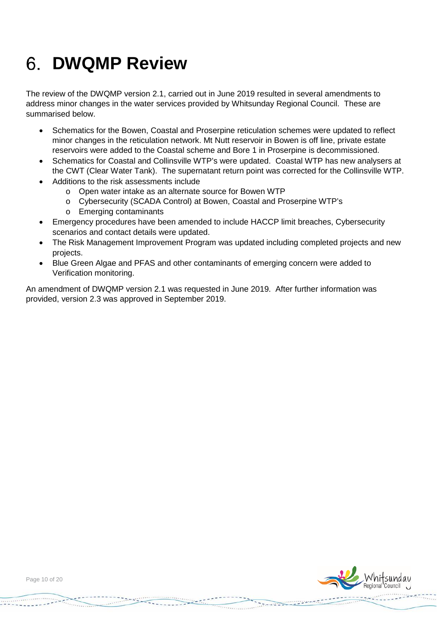## <span id="page-9-0"></span>**DWQMP Review**

The review of the DWQMP version 2.1, carried out in June 2019 resulted in several amendments to address minor changes in the water services provided by Whitsunday Regional Council. These are summarised below.

- Schematics for the Bowen, Coastal and Proserpine reticulation schemes were updated to reflect minor changes in the reticulation network. Mt Nutt reservoir in Bowen is off line, private estate reservoirs were added to the Coastal scheme and Bore 1 in Proserpine is decommissioned.
- Schematics for Coastal and Collinsville WTP's were updated. Coastal WTP has new analysers at the CWT (Clear Water Tank). The supernatant return point was corrected for the Collinsville WTP.
- Additions to the risk assessments include
	- o Open water intake as an alternate source for Bowen WTP
	- o Cybersecurity (SCADA Control) at Bowen, Coastal and Proserpine WTP's
	- o Emerging contaminants
- Emergency procedures have been amended to include HACCP limit breaches, Cybersecurity scenarios and contact details were updated.
- The Risk Management Improvement Program was updated including completed projects and new projects.
- Blue Green Algae and PFAS and other contaminants of emerging concern were added to Verification monitoring.

An amendment of DWQMP version 2.1 was requested in June 2019. After further information was provided, version 2.3 was approved in September 2019.



 $\frac{1}{2} \left( \frac{1}{2} \right)^{2} \left( \frac{1}{2} \right)^{2} \left( \frac{1}{2} \right)^{2} \left( \frac{1}{2} \right)^{2} \left( \frac{1}{2} \right)^{2} \left( \frac{1}{2} \right)^{2} \left( \frac{1}{2} \right)^{2} \left( \frac{1}{2} \right)^{2} \left( \frac{1}{2} \right)^{2} \left( \frac{1}{2} \right)^{2} \left( \frac{1}{2} \right)^{2} \left( \frac{1}{2} \right)^{2} \left( \frac{1}{2} \right)^{2} \left( \frac$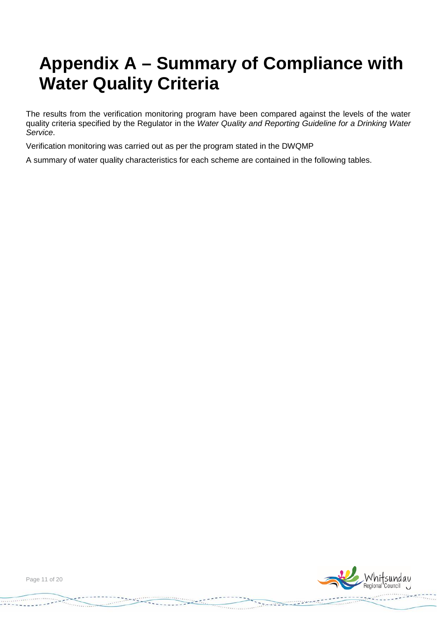### <span id="page-10-0"></span>**Appendix A – Summary of Compliance with Water Quality Criteria**

The results from the verification monitoring program have been compared against the levels of the water quality criteria specified by the Regulator in the *Water Quality and Reporting Guideline for a Drinking Water Service*.

Verification monitoring was carried out as per the program stated in the DWQMP

A summary of water quality characteristics for each scheme are contained in the following tables.



Page 11 of 20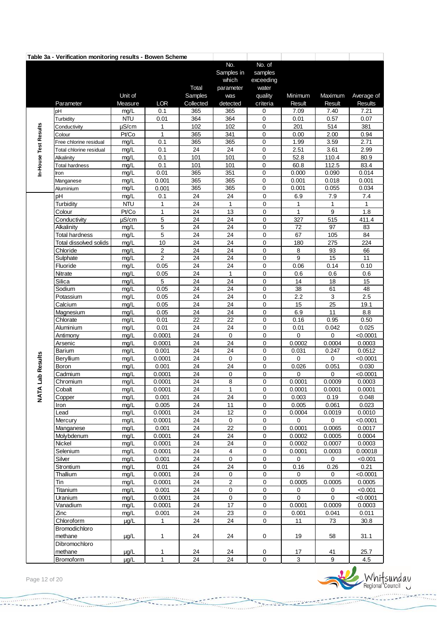|                       | Table 3a - Verification monitoring results - Bowen Scheme |                    |                 |                       |                         |                          |                |                |                   |
|-----------------------|-----------------------------------------------------------|--------------------|-----------------|-----------------------|-------------------------|--------------------------|----------------|----------------|-------------------|
|                       |                                                           |                    |                 |                       | No.                     | No. of                   |                |                |                   |
|                       |                                                           |                    |                 |                       | Samples in              | samples                  |                |                |                   |
|                       |                                                           |                    |                 |                       | which                   | exceeding                |                |                |                   |
|                       |                                                           |                    |                 | Total                 | parameter               | water                    |                |                |                   |
|                       |                                                           | Unit of            |                 | Samples               | was                     | quality                  | <b>Minimum</b> | Maximum        | Average of        |
|                       | Parameter                                                 | Measure            | <b>LOR</b>      | Collected             | detected                | criteria                 | <b>Result</b>  | <b>Result</b>  | <b>Results</b>    |
|                       | pН                                                        | mg/L<br><b>NTU</b> | 0.1             | 365<br>364            | 365                     | 0<br>0                   | 7.09           | 7.40           | 7.21              |
|                       | Turbidity<br>Conductivity                                 | $\mu$ S/cm         | 0.01<br>1       | 102                   | 364<br>102              | 0                        | 0.01<br>201    | 0.57<br>514    | 0.07<br>381       |
| In-House Test Results | Colour                                                    | Pt/Co              | $\mathbf{1}$    | 365                   | 341                     | 0                        | 0.00           | 2.00           | 0.94              |
|                       | Free chlorine residual                                    | mg/L               | 0.1             | 365                   | 365                     | 0                        | 1.99           | 3.59           | 2.71              |
|                       | Total chlorine residual                                   | mg/L               | 0.1             | 24                    | 24                      | 0                        | 2.51           | 3.61           | 2.99              |
|                       | Alkalinity                                                | mg/L               | 0.1             | 101                   | 101                     | 0                        | 52.8           | 110.4          | 80.9              |
|                       | <b>Total hardness</b>                                     | mg/L               | 0.1             | 101                   | 101                     | 0                        | 60.8           | 112.5          | 83.4              |
|                       | Iron                                                      | mg/L               | 0.01            | 365                   | 351                     | 0                        | 0.000          | 0.090          | 0.014             |
|                       | Manganese                                                 | mg/L               | 0.001           | 365                   | 365                     | 0                        | 0.001          | 0.018          | 0.001             |
|                       | Aluminium                                                 | mg/L               | 0.001           | 365                   | 365                     | 0                        | 0.001          | 0.055          | 0.034             |
|                       | рH                                                        | mg/L               | 0.1             | 24                    | 24                      | $\mathbf 0$              | 6.9            | 7.9            | 7.4               |
|                       | Turbidity                                                 | <b>NTU</b>         | $\mathbf{1}$    | 24                    | $\mathbf{1}$            | $\pmb{0}$                | $\mathbf{1}$   | $\mathbf{1}$   | $\mathbf{1}$      |
|                       | Colour                                                    | Pt/Co              | $\mathbf{1}$    | 24                    | 13                      | $\mathbf 0$              | $\mathbf{1}$   | 9              | 1.8               |
|                       | Conductivity                                              | $\mu$ S/cm         | 5               | 24                    | 24                      | 0                        | 327            | 515            | 411.4             |
|                       | Alkalinity                                                | mg/L               | 5               | 24                    | 24                      | $\mathbf 0$              | 72             | 97             | 83                |
|                       | <b>Total hardness</b>                                     | mg/L               | 5               | 24                    | 24                      | 0                        | 67             | 105            | 84                |
|                       | Total dissolved solids<br>Chloride                        | mg/L               | 10<br>2         | 24<br>24              | 24<br>24                | 0<br>0                   | 180<br>8       | 275<br>93      | 224<br>66         |
|                       | Sulphate                                                  | mg/L<br>mg/L       | $\overline{c}$  | 24                    | 24                      | 0                        | 9              | 15             | 11                |
|                       | Fluoride                                                  | mg/L               | 0.05            | 24                    | 24                      | 0                        | 0.06           | 0.14           | 0.10              |
|                       | Nitrate                                                   | mg/L               | 0.05            | 24                    | $\mathbf{1}$            | 0                        | 0.6            | 0.6            | 0.6               |
|                       | Silica                                                    | mg/L               | 5               | 24                    | 24                      | 0                        | 14             | 18             | 15                |
|                       | Sodium                                                    | mg/L               | 0.05            | 24                    | 24                      | 0                        | 38             | 61             | 48                |
|                       | Potassium                                                 | mg/L               | 0.05            | 24                    | 24                      | 0                        | 2.2            | $\sqrt{3}$     | 2.5               |
|                       | Calcium                                                   | mg/L               | 0.05            | 24                    | 24                      | 0                        | 15             | 25             | 19.1              |
|                       | Magnesium                                                 | mg/L               | 0.05            | 24                    | 24                      | 0                        | 6.9            | 11             | 8.8               |
|                       | Chlorate                                                  | mg/L               | 0.01            | 22                    | 22                      | 0                        | 0.16           | 0.95           | 0.50              |
|                       | Aluminium                                                 | mg/L               | 0.01            | 24                    | 24                      | 0                        | 0.01           | 0.042          | 0.025             |
|                       | Antimony                                                  | mg/L               | 0.0001          | 24                    | $\mathbf 0$             | 0                        | 0              | 0              | < 0.0001          |
|                       | Arsenic                                                   | mg/L               | 0.0001          | 24                    | 24                      | 0                        | 0.0002         | 0.0004         | 0.0003            |
|                       | Barium                                                    | mg/L               | 0.001           | 24                    | 24                      | 0                        | 0.031          | 0.247          | 0.0512            |
| Results               | Beryllium                                                 | mg/L               | 0.0001          | 24                    | $\mathbf 0$             | $\pmb{0}$                | $\Omega$       | $\Omega$       | < 0.0001          |
|                       | Boron                                                     | mg/L               | 0.001<br>0.0001 | 24<br>$\overline{24}$ | 24<br>0                 | 0<br>$\mathsf 0$         | 0.026<br>0     | 0.051<br>0     | 0.030<br>< 0.0001 |
| ಕ್ಲಿ                  | Cadmium<br>Chromium                                       | mg/L<br>mg/L       | 0.0001          | 24                    | $\overline{8}$          | $\mathsf 0$              | 0.0001         | 0.0009         | 0.0003            |
|                       | Cobalt                                                    | mg/L               | 0.0001          | 24                    | 1                       | 0                        | 0.0001         | 0.0001         | 0.0001            |
| <b>NATA</b>           | Copper                                                    | mg/L               | 0.001           | 24                    | 24                      | 0                        | 0.003          | 0.19           | 0.048             |
|                       | Iron                                                      | mg/L               | 0.005           | 24                    | 11                      | 0                        | 0.005          | 0.061          | 0.023             |
|                       | Lead                                                      | mg/L               | 0.0001          | 24                    | 12                      | 0                        | 0.0004         | 0.0019         | 0.0010            |
|                       | Mercury                                                   | mg/L               | 0.0001          | 24                    | $\mathbf 0$             | 0                        | $\mathbf 0$    | 0              | < 0.0001          |
|                       | Manganese                                                 | mg/L               | 0.001           | 24                    | 22                      | 0                        | 0.0001         | 0.0065         | 0.0017            |
|                       | Molybdenum                                                | mg/L               | 0.0001          | 24                    | 24                      | 0                        | 0.0002         | 0.0005         | 0.0004            |
|                       | Nickel                                                    | mg/L               | 0.0001          | 24                    | 24                      | $\mathsf 0$              | 0.0002         | 0.0007         | 0.0003            |
|                       | Selenium                                                  | mg/L               | 0.0001          | 24                    | $\overline{\mathbf{4}}$ | 0                        | 0.0001         | 0.0003         | 0.00018           |
|                       | Silver                                                    | mg/L               | 0.001           | 24                    | 0                       | 0                        | 0              | 0              | < 0.001           |
|                       | Strontium                                                 | mg/L               | 0.01            | 24                    | 24                      | 0                        | 0.16           | 0.26           | 0.21              |
|                       | Thallium                                                  | mg/L               | 0.0001          | 24                    | 0                       | $\mathsf 0$              | $\Omega$       | 0              | < 0.0001          |
|                       | Tin                                                       | mg/L<br>mg/L       | 0.0001<br>0.001 | 24<br>24              | 2<br>0                  | $\mathsf 0$<br>$\pmb{0}$ | 0.0005<br>0    | 0.0005<br>0    | 0.0005<br>< 0.001 |
|                       | Titanium<br>Uranium                                       | mg/L               | 0.0001          | 24                    | 0                       | 0                        | 0              | $\mathbf 0$    | < 0.0001          |
|                       | Vanadium                                                  | mg/L               | 0.0001          | 24                    | 17                      | $\pmb{0}$                | 0.0001         | 0.0009         | 0.0003            |
|                       | Zinc                                                      | mg/L               | 0.001           | 24                    | 23                      | $\mathsf 0$              | 0.001          | 0.041          | 0.011             |
|                       | Chloroform                                                | $\mu$ g/L          | 1               | 24                    | 24                      | 0                        | 11             | 73             | 30.8              |
|                       | Bromodichloro                                             |                    |                 |                       |                         |                          |                |                |                   |
|                       | methane                                                   | $\mu$ g/L          | 1               | 24                    | 24                      | 0                        | 19             | 58             | 31.1              |
|                       | Dibromochloro                                             |                    |                 |                       |                         |                          |                |                |                   |
|                       | methane                                                   | $\mu$ g/L          | 1               | 24                    | 24                      | 0                        | 17             | 41             | 25.7              |
|                       | Bromoform                                                 | $\mu g/L$          | $\mathbf{1}$    | 24                    | 24                      | $\overline{0}$           | $\overline{3}$ | $\overline{9}$ | 4.5               |



**MONDAY CONTRACTOR** 

*Change of the State of the State of the State of the State of the State of the State of the State of the State of the State of the State of the State of the State of the State of the State of the State of the State of th* 

 $1000 + 1000$ 

**Contract Contract Contract Contract Contract Contract Contract Contract Contract Contract Contract Contract Contract Contract Contract Contract Contract Contract Contract Contract Contract Contract Contract Contract Contr** 



ù.

u

**Standard**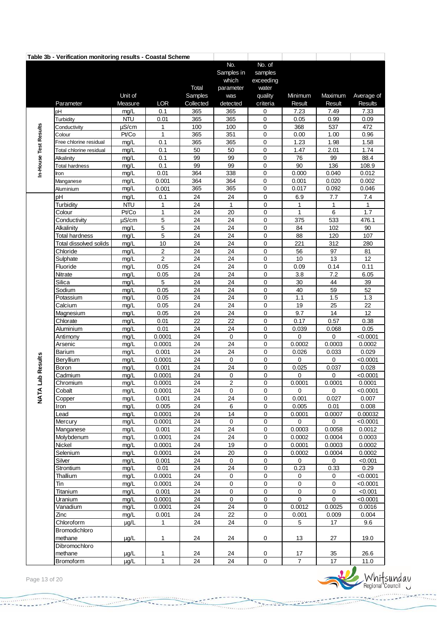| No.<br>No. of<br>Samples in<br>samples<br>which<br>exceeding<br>Total<br>water<br>parameter<br>Unit of<br>quality<br>Minimum<br>Samples<br>Maximum<br>Average of<br>was<br><b>LOR</b><br>Collected<br>detected<br>criteria<br>Measure<br>Result<br>Result<br><b>Results</b><br>Parameter<br>mg/L<br>0.1<br>365<br>365<br>7.23<br>7.49<br>7.33<br>0<br>рH<br><b>NTU</b><br>0.01<br>365<br>Turbidity<br>365<br>0<br>0.05<br>0.99<br>0.09<br>In-House Test Results<br>µS/cm<br>100<br>537<br>100<br>0<br>368<br>472<br>Conductivity<br>1<br>Pt/Co<br>$\mathbf{1}$<br>365<br>$\mathbf 0$<br>351<br>0.00<br>1.00<br>0.96<br>Colour<br>0.1<br>365<br>0<br>1.98<br>Free chlorine residual<br>mg/L<br>365<br>1.23<br>1.58<br>0.1<br>50<br>0<br>2.01<br>1.74<br>mg/L<br>50<br>1.47<br>Total chlorine residual<br>99<br>99<br>0<br>76<br>99<br>mg/L<br>0.1<br>88.4<br>Alkalinity<br>99<br>99<br>0<br>90<br>136<br>mg/L<br>0.1<br>108.9<br><b>Total hardness</b><br>0.01<br>364<br>0<br>0.040<br>0.012<br>mg/L<br>338<br>0.000<br>ron<br>364<br>0.020<br>0.002<br>Manganese<br>0.001<br>364<br>0<br>0.001<br>mg/L<br>0<br>365<br>365<br>0.092<br>0.046<br>mg/L<br>0.001<br>0.017<br>Aluminium<br>pH<br>24<br>0<br>mg/L<br>0.1<br>24<br>6.9<br>7.7<br>7.4<br><b>NTU</b><br>24<br>0<br>Turbidity<br>1<br>$\mathbf{1}$<br>$\mathbf{1}$<br>$\mathbf{1}$<br>1<br>Colour<br>Pt/Co<br>$\mathbf{1}$<br>24<br>$\pmb{0}$<br>6<br>20<br>$\mathbf{1}$<br>1.7<br>µS/cm<br>5<br>24<br>24<br>$\mathbf 0$<br>533<br>476.1<br>Conductivity<br>375<br>$\overline{5}$<br>$\overline{24}$<br>24<br>0<br>102<br>Alkalinity<br>mg/L<br>84<br>90<br>5<br>0<br>88<br>mg/L<br>24<br>24<br>120<br>107<br>Total hardness<br>Total dissolved solids<br>0<br>312<br>mg/L<br>10<br>24<br>24<br>221<br>280<br>Chloride<br>$\overline{c}$<br>24<br>24<br>$\mathbf 0$<br>56<br>97<br>mg/L<br>81<br>$\overline{2}$<br>$\overline{13}$<br>24<br>24<br>$\mathbf 0$<br>10<br>12<br>Sulphate<br>mg/L<br>0.05<br>24<br>24<br>$\mathbf 0$<br>Fluoride<br>mg/L<br>0.09<br>0.14<br>0.11<br>24<br>24<br>0<br>3.8<br>7.2<br>6.05<br>Nitrate<br>mg/L<br>0.05<br>Silica<br>5<br>24<br>24<br>0<br>30<br>44<br>39<br>mg/L<br>24<br>59<br>52<br>Sodium<br>24<br>$\mathbf 0$<br>40<br>mg/L<br>0.05<br>24<br>24<br>0<br>1.5<br>0.05<br>1.1<br>1.3<br>Potassium<br>mg/L<br>24<br>0<br>19<br>25<br>22<br>Calcium<br>0.05<br>24<br>mg/L<br>Magnesium<br>24<br>24<br>0<br>9.7<br>14<br>12<br>0.05<br>mg/L<br>22<br>22<br>Chlorate<br>0.01<br>0<br>0.17<br>0.57<br>0.38<br>mg/L<br>24<br>24<br>0<br>0.01<br>0.039<br>0.068<br>0.05<br>Aluminium<br>mg/L<br>0.0001<br>24<br>0<br>0<br>$\Omega$<br>0<br>< 0.0001<br>Antimony<br>mg/L<br>24<br>24<br>0<br>0.0002<br>Arsenic<br>0.0001<br>0.0002<br>0.0003<br>mg/L<br>$\overline{24}$<br>24<br>0<br>0.001<br>0.026<br>0.033<br>0.029<br>Barium<br>mg/L<br><b>NATA Lab Results</b><br>24<br>0<br>0<br>0.0001<br>< 0.0001<br>Beryllium<br>mg/L<br>0<br>0<br>24<br>24<br>$\mathbf 0$<br>0.025<br>0.001<br>0.037<br>0.028<br>Boron<br>mg/L<br>Cadmium<br>0.0001<br>24<br>0<br>0<br>$\mathbf 0$<br>< 0.0001<br>mg/L<br>0<br>Chromium<br>mg/L<br>0.0001<br>24<br>2<br>0<br>0.0001<br>0.0001<br>0.0001<br>$\pmb{0}$<br>24<br>$\mathbf 0$<br>Cobalt<br>0.0001<br>$\mathbf 0$<br>< 0.0001<br>mg/L<br>0<br>mg/L<br>0.001<br>24<br>24<br>$\mathbf 0$<br>0.001<br>0.027<br>0.007<br>Copper<br>0.005<br>24<br>6<br>$\mathbf 0$<br>0.005<br>0.01<br>0.008<br>mg/L<br>Iron<br>24<br>14<br>$\pmb{0}$<br>Lead<br>mg/L<br>0.0001<br>0.0001<br>0.0007<br>0.00032<br>24<br>$\pmb{0}$<br>$\pmb{0}$<br>mg/L<br>0.0001<br>$\mathbf 0$<br>< 0.0001<br>Mercury<br>0<br>24<br>24<br>0<br>0.0003<br>mg/L<br>0.001<br>0.0058<br>0.0012<br>Manganese<br>$\mathsf 0$<br>0.0001<br>24<br>24<br>0.0002<br>0.0004<br>0.0003<br>Molybdenum<br>mg/L<br>Nickel<br>24<br>19<br>$\pmb{0}$<br>0.0002<br>mg/L<br>0.0001<br>0.0001<br>0.0003<br>24<br>20<br>$\pmb{0}$<br>0.0002<br>Selenium<br>0.0001<br>0.0004<br>0.0002<br>mg/L<br>$\pmb{0}$<br>$\mathsf 0$<br>Silver<br>mg/L<br>0.001<br>24<br>$\mathbf 0$<br>$\mathbf 0$<br>< 0.001<br>24<br>$\mathsf 0$<br>0.29<br>0.01<br>24<br>0.23<br>0.33<br>Strontium<br>mg/L<br>Thallium<br>24<br>mg/L<br>0.0001<br>0<br>0<br>< 0.0001<br>0<br>0<br>0.0001<br>24<br>$\mathbf 0$<br>$\pmb{0}$<br>$\mathbf 0$<br>< 0.0001<br>Tin<br>mg/L<br>0<br>0<br>$\mathsf 0$<br>Titanium<br>0.001<br>24<br>$\mathbf 0$<br>mg/L<br>0<br>< 0.001<br>0<br>$\pmb{0}$<br>0<br>mg/L<br>0.0001<br>24<br>0<br>< 0.0001<br>Uranium<br>0.0001<br>0.0025<br>0.0016<br>Vanadium<br>mg/L<br>24<br>24<br>0<br>0.0012<br>24<br>0.001<br>22<br>$\pmb{0}$<br>0.001<br>Zinc<br>0.009<br>0.004<br>mg/L<br>24<br>24<br>$\pmb{0}$<br>Chloroform<br>µg/L<br>$\mathbf{1}$<br>5<br>17<br>9.6<br>Bromodichloro<br>methane<br>$\mu$ g/L<br>24<br>24<br>0<br>13<br>27<br>19.0<br>1<br>Dibromochloro<br>methane<br>24<br>24<br>0<br>17<br>35<br>26.6<br>$\mu$ g/L<br>1 | Table 3b - Verification monitoring results - Coastal Scheme |      |              |                 |    |                |                |                 |      |
|----------------------------------------------------------------------------------------------------------------------------------------------------------------------------------------------------------------------------------------------------------------------------------------------------------------------------------------------------------------------------------------------------------------------------------------------------------------------------------------------------------------------------------------------------------------------------------------------------------------------------------------------------------------------------------------------------------------------------------------------------------------------------------------------------------------------------------------------------------------------------------------------------------------------------------------------------------------------------------------------------------------------------------------------------------------------------------------------------------------------------------------------------------------------------------------------------------------------------------------------------------------------------------------------------------------------------------------------------------------------------------------------------------------------------------------------------------------------------------------------------------------------------------------------------------------------------------------------------------------------------------------------------------------------------------------------------------------------------------------------------------------------------------------------------------------------------------------------------------------------------------------------------------------------------------------------------------------------------------------------------------------------------------------------------------------------------------------------------------------------------------------------------------------------------------------------------------------------------------------------------------------------------------------------------------------------------------------------------------------------------------------------------------------------------------------------------------------------------------------------------------------------------------------------------------------------------------------------------------------------------------------------------------------------------------------------------------------------------------------------------------------------------------------------------------------------------------------------------------------------------------------------------------------------------------------------------------------------------------------------------------------------------------------------------------------------------------------------------------------------------------------------------------------------------------------------------------------------------------------------------------------------------------------------------------------------------------------------------------------------------------------------------------------------------------------------------------------------------------------------------------------------------------------------------------------------------------------------------------------------------------------------------------------------------------------------------------------------------------------------------------------------------------------------------------------------------------------------------------------------------------------------------------------------------------------------------------------------------------------------------------------------------------------------------------------------------------------------------------------------------------------------------------------------------------------------------------------------------------------------------------------------------------------------------------------------------------------------------------------------------------------------------------------------------------------------------------------------------------------------------------------------------------------------------------------------------------------------------------------------------------------------------------------------------------------------------------------------------------------------------------------------------------------------------------------------------------------------------------------------------------------------------------|-------------------------------------------------------------|------|--------------|-----------------|----|----------------|----------------|-----------------|------|
|                                                                                                                                                                                                                                                                                                                                                                                                                                                                                                                                                                                                                                                                                                                                                                                                                                                                                                                                                                                                                                                                                                                                                                                                                                                                                                                                                                                                                                                                                                                                                                                                                                                                                                                                                                                                                                                                                                                                                                                                                                                                                                                                                                                                                                                                                                                                                                                                                                                                                                                                                                                                                                                                                                                                                                                                                                                                                                                                                                                                                                                                                                                                                                                                                                                                                                                                                                                                                                                                                                                                                                                                                                                                                                                                                                                                                                                                                                                                                                                                                                                                                                                                                                                                                                                                                                                                                                                                                                                                                                                                                                                                                                                                                                                                                                                                                                                                                                          |                                                             |      |              |                 |    |                |                |                 |      |
|                                                                                                                                                                                                                                                                                                                                                                                                                                                                                                                                                                                                                                                                                                                                                                                                                                                                                                                                                                                                                                                                                                                                                                                                                                                                                                                                                                                                                                                                                                                                                                                                                                                                                                                                                                                                                                                                                                                                                                                                                                                                                                                                                                                                                                                                                                                                                                                                                                                                                                                                                                                                                                                                                                                                                                                                                                                                                                                                                                                                                                                                                                                                                                                                                                                                                                                                                                                                                                                                                                                                                                                                                                                                                                                                                                                                                                                                                                                                                                                                                                                                                                                                                                                                                                                                                                                                                                                                                                                                                                                                                                                                                                                                                                                                                                                                                                                                                                          |                                                             |      |              |                 |    |                |                |                 |      |
|                                                                                                                                                                                                                                                                                                                                                                                                                                                                                                                                                                                                                                                                                                                                                                                                                                                                                                                                                                                                                                                                                                                                                                                                                                                                                                                                                                                                                                                                                                                                                                                                                                                                                                                                                                                                                                                                                                                                                                                                                                                                                                                                                                                                                                                                                                                                                                                                                                                                                                                                                                                                                                                                                                                                                                                                                                                                                                                                                                                                                                                                                                                                                                                                                                                                                                                                                                                                                                                                                                                                                                                                                                                                                                                                                                                                                                                                                                                                                                                                                                                                                                                                                                                                                                                                                                                                                                                                                                                                                                                                                                                                                                                                                                                                                                                                                                                                                                          |                                                             |      |              |                 |    |                |                |                 |      |
|                                                                                                                                                                                                                                                                                                                                                                                                                                                                                                                                                                                                                                                                                                                                                                                                                                                                                                                                                                                                                                                                                                                                                                                                                                                                                                                                                                                                                                                                                                                                                                                                                                                                                                                                                                                                                                                                                                                                                                                                                                                                                                                                                                                                                                                                                                                                                                                                                                                                                                                                                                                                                                                                                                                                                                                                                                                                                                                                                                                                                                                                                                                                                                                                                                                                                                                                                                                                                                                                                                                                                                                                                                                                                                                                                                                                                                                                                                                                                                                                                                                                                                                                                                                                                                                                                                                                                                                                                                                                                                                                                                                                                                                                                                                                                                                                                                                                                                          |                                                             |      |              |                 |    |                |                |                 |      |
|                                                                                                                                                                                                                                                                                                                                                                                                                                                                                                                                                                                                                                                                                                                                                                                                                                                                                                                                                                                                                                                                                                                                                                                                                                                                                                                                                                                                                                                                                                                                                                                                                                                                                                                                                                                                                                                                                                                                                                                                                                                                                                                                                                                                                                                                                                                                                                                                                                                                                                                                                                                                                                                                                                                                                                                                                                                                                                                                                                                                                                                                                                                                                                                                                                                                                                                                                                                                                                                                                                                                                                                                                                                                                                                                                                                                                                                                                                                                                                                                                                                                                                                                                                                                                                                                                                                                                                                                                                                                                                                                                                                                                                                                                                                                                                                                                                                                                                          |                                                             |      |              |                 |    |                |                |                 |      |
|                                                                                                                                                                                                                                                                                                                                                                                                                                                                                                                                                                                                                                                                                                                                                                                                                                                                                                                                                                                                                                                                                                                                                                                                                                                                                                                                                                                                                                                                                                                                                                                                                                                                                                                                                                                                                                                                                                                                                                                                                                                                                                                                                                                                                                                                                                                                                                                                                                                                                                                                                                                                                                                                                                                                                                                                                                                                                                                                                                                                                                                                                                                                                                                                                                                                                                                                                                                                                                                                                                                                                                                                                                                                                                                                                                                                                                                                                                                                                                                                                                                                                                                                                                                                                                                                                                                                                                                                                                                                                                                                                                                                                                                                                                                                                                                                                                                                                                          |                                                             |      |              |                 |    |                |                |                 |      |
|                                                                                                                                                                                                                                                                                                                                                                                                                                                                                                                                                                                                                                                                                                                                                                                                                                                                                                                                                                                                                                                                                                                                                                                                                                                                                                                                                                                                                                                                                                                                                                                                                                                                                                                                                                                                                                                                                                                                                                                                                                                                                                                                                                                                                                                                                                                                                                                                                                                                                                                                                                                                                                                                                                                                                                                                                                                                                                                                                                                                                                                                                                                                                                                                                                                                                                                                                                                                                                                                                                                                                                                                                                                                                                                                                                                                                                                                                                                                                                                                                                                                                                                                                                                                                                                                                                                                                                                                                                                                                                                                                                                                                                                                                                                                                                                                                                                                                                          |                                                             |      |              |                 |    |                |                |                 |      |
|                                                                                                                                                                                                                                                                                                                                                                                                                                                                                                                                                                                                                                                                                                                                                                                                                                                                                                                                                                                                                                                                                                                                                                                                                                                                                                                                                                                                                                                                                                                                                                                                                                                                                                                                                                                                                                                                                                                                                                                                                                                                                                                                                                                                                                                                                                                                                                                                                                                                                                                                                                                                                                                                                                                                                                                                                                                                                                                                                                                                                                                                                                                                                                                                                                                                                                                                                                                                                                                                                                                                                                                                                                                                                                                                                                                                                                                                                                                                                                                                                                                                                                                                                                                                                                                                                                                                                                                                                                                                                                                                                                                                                                                                                                                                                                                                                                                                                                          |                                                             |      |              |                 |    |                |                |                 |      |
|                                                                                                                                                                                                                                                                                                                                                                                                                                                                                                                                                                                                                                                                                                                                                                                                                                                                                                                                                                                                                                                                                                                                                                                                                                                                                                                                                                                                                                                                                                                                                                                                                                                                                                                                                                                                                                                                                                                                                                                                                                                                                                                                                                                                                                                                                                                                                                                                                                                                                                                                                                                                                                                                                                                                                                                                                                                                                                                                                                                                                                                                                                                                                                                                                                                                                                                                                                                                                                                                                                                                                                                                                                                                                                                                                                                                                                                                                                                                                                                                                                                                                                                                                                                                                                                                                                                                                                                                                                                                                                                                                                                                                                                                                                                                                                                                                                                                                                          |                                                             |      |              |                 |    |                |                |                 |      |
|                                                                                                                                                                                                                                                                                                                                                                                                                                                                                                                                                                                                                                                                                                                                                                                                                                                                                                                                                                                                                                                                                                                                                                                                                                                                                                                                                                                                                                                                                                                                                                                                                                                                                                                                                                                                                                                                                                                                                                                                                                                                                                                                                                                                                                                                                                                                                                                                                                                                                                                                                                                                                                                                                                                                                                                                                                                                                                                                                                                                                                                                                                                                                                                                                                                                                                                                                                                                                                                                                                                                                                                                                                                                                                                                                                                                                                                                                                                                                                                                                                                                                                                                                                                                                                                                                                                                                                                                                                                                                                                                                                                                                                                                                                                                                                                                                                                                                                          |                                                             |      |              |                 |    |                |                |                 |      |
|                                                                                                                                                                                                                                                                                                                                                                                                                                                                                                                                                                                                                                                                                                                                                                                                                                                                                                                                                                                                                                                                                                                                                                                                                                                                                                                                                                                                                                                                                                                                                                                                                                                                                                                                                                                                                                                                                                                                                                                                                                                                                                                                                                                                                                                                                                                                                                                                                                                                                                                                                                                                                                                                                                                                                                                                                                                                                                                                                                                                                                                                                                                                                                                                                                                                                                                                                                                                                                                                                                                                                                                                                                                                                                                                                                                                                                                                                                                                                                                                                                                                                                                                                                                                                                                                                                                                                                                                                                                                                                                                                                                                                                                                                                                                                                                                                                                                                                          |                                                             |      |              |                 |    |                |                |                 |      |
|                                                                                                                                                                                                                                                                                                                                                                                                                                                                                                                                                                                                                                                                                                                                                                                                                                                                                                                                                                                                                                                                                                                                                                                                                                                                                                                                                                                                                                                                                                                                                                                                                                                                                                                                                                                                                                                                                                                                                                                                                                                                                                                                                                                                                                                                                                                                                                                                                                                                                                                                                                                                                                                                                                                                                                                                                                                                                                                                                                                                                                                                                                                                                                                                                                                                                                                                                                                                                                                                                                                                                                                                                                                                                                                                                                                                                                                                                                                                                                                                                                                                                                                                                                                                                                                                                                                                                                                                                                                                                                                                                                                                                                                                                                                                                                                                                                                                                                          |                                                             |      |              |                 |    |                |                |                 |      |
|                                                                                                                                                                                                                                                                                                                                                                                                                                                                                                                                                                                                                                                                                                                                                                                                                                                                                                                                                                                                                                                                                                                                                                                                                                                                                                                                                                                                                                                                                                                                                                                                                                                                                                                                                                                                                                                                                                                                                                                                                                                                                                                                                                                                                                                                                                                                                                                                                                                                                                                                                                                                                                                                                                                                                                                                                                                                                                                                                                                                                                                                                                                                                                                                                                                                                                                                                                                                                                                                                                                                                                                                                                                                                                                                                                                                                                                                                                                                                                                                                                                                                                                                                                                                                                                                                                                                                                                                                                                                                                                                                                                                                                                                                                                                                                                                                                                                                                          |                                                             |      |              |                 |    |                |                |                 |      |
|                                                                                                                                                                                                                                                                                                                                                                                                                                                                                                                                                                                                                                                                                                                                                                                                                                                                                                                                                                                                                                                                                                                                                                                                                                                                                                                                                                                                                                                                                                                                                                                                                                                                                                                                                                                                                                                                                                                                                                                                                                                                                                                                                                                                                                                                                                                                                                                                                                                                                                                                                                                                                                                                                                                                                                                                                                                                                                                                                                                                                                                                                                                                                                                                                                                                                                                                                                                                                                                                                                                                                                                                                                                                                                                                                                                                                                                                                                                                                                                                                                                                                                                                                                                                                                                                                                                                                                                                                                                                                                                                                                                                                                                                                                                                                                                                                                                                                                          |                                                             |      |              |                 |    |                |                |                 |      |
|                                                                                                                                                                                                                                                                                                                                                                                                                                                                                                                                                                                                                                                                                                                                                                                                                                                                                                                                                                                                                                                                                                                                                                                                                                                                                                                                                                                                                                                                                                                                                                                                                                                                                                                                                                                                                                                                                                                                                                                                                                                                                                                                                                                                                                                                                                                                                                                                                                                                                                                                                                                                                                                                                                                                                                                                                                                                                                                                                                                                                                                                                                                                                                                                                                                                                                                                                                                                                                                                                                                                                                                                                                                                                                                                                                                                                                                                                                                                                                                                                                                                                                                                                                                                                                                                                                                                                                                                                                                                                                                                                                                                                                                                                                                                                                                                                                                                                                          |                                                             |      |              |                 |    |                |                |                 |      |
|                                                                                                                                                                                                                                                                                                                                                                                                                                                                                                                                                                                                                                                                                                                                                                                                                                                                                                                                                                                                                                                                                                                                                                                                                                                                                                                                                                                                                                                                                                                                                                                                                                                                                                                                                                                                                                                                                                                                                                                                                                                                                                                                                                                                                                                                                                                                                                                                                                                                                                                                                                                                                                                                                                                                                                                                                                                                                                                                                                                                                                                                                                                                                                                                                                                                                                                                                                                                                                                                                                                                                                                                                                                                                                                                                                                                                                                                                                                                                                                                                                                                                                                                                                                                                                                                                                                                                                                                                                                                                                                                                                                                                                                                                                                                                                                                                                                                                                          |                                                             |      |              |                 |    |                |                |                 |      |
|                                                                                                                                                                                                                                                                                                                                                                                                                                                                                                                                                                                                                                                                                                                                                                                                                                                                                                                                                                                                                                                                                                                                                                                                                                                                                                                                                                                                                                                                                                                                                                                                                                                                                                                                                                                                                                                                                                                                                                                                                                                                                                                                                                                                                                                                                                                                                                                                                                                                                                                                                                                                                                                                                                                                                                                                                                                                                                                                                                                                                                                                                                                                                                                                                                                                                                                                                                                                                                                                                                                                                                                                                                                                                                                                                                                                                                                                                                                                                                                                                                                                                                                                                                                                                                                                                                                                                                                                                                                                                                                                                                                                                                                                                                                                                                                                                                                                                                          |                                                             |      |              |                 |    |                |                |                 |      |
|                                                                                                                                                                                                                                                                                                                                                                                                                                                                                                                                                                                                                                                                                                                                                                                                                                                                                                                                                                                                                                                                                                                                                                                                                                                                                                                                                                                                                                                                                                                                                                                                                                                                                                                                                                                                                                                                                                                                                                                                                                                                                                                                                                                                                                                                                                                                                                                                                                                                                                                                                                                                                                                                                                                                                                                                                                                                                                                                                                                                                                                                                                                                                                                                                                                                                                                                                                                                                                                                                                                                                                                                                                                                                                                                                                                                                                                                                                                                                                                                                                                                                                                                                                                                                                                                                                                                                                                                                                                                                                                                                                                                                                                                                                                                                                                                                                                                                                          |                                                             |      |              |                 |    |                |                |                 |      |
|                                                                                                                                                                                                                                                                                                                                                                                                                                                                                                                                                                                                                                                                                                                                                                                                                                                                                                                                                                                                                                                                                                                                                                                                                                                                                                                                                                                                                                                                                                                                                                                                                                                                                                                                                                                                                                                                                                                                                                                                                                                                                                                                                                                                                                                                                                                                                                                                                                                                                                                                                                                                                                                                                                                                                                                                                                                                                                                                                                                                                                                                                                                                                                                                                                                                                                                                                                                                                                                                                                                                                                                                                                                                                                                                                                                                                                                                                                                                                                                                                                                                                                                                                                                                                                                                                                                                                                                                                                                                                                                                                                                                                                                                                                                                                                                                                                                                                                          |                                                             |      |              |                 |    |                |                |                 |      |
|                                                                                                                                                                                                                                                                                                                                                                                                                                                                                                                                                                                                                                                                                                                                                                                                                                                                                                                                                                                                                                                                                                                                                                                                                                                                                                                                                                                                                                                                                                                                                                                                                                                                                                                                                                                                                                                                                                                                                                                                                                                                                                                                                                                                                                                                                                                                                                                                                                                                                                                                                                                                                                                                                                                                                                                                                                                                                                                                                                                                                                                                                                                                                                                                                                                                                                                                                                                                                                                                                                                                                                                                                                                                                                                                                                                                                                                                                                                                                                                                                                                                                                                                                                                                                                                                                                                                                                                                                                                                                                                                                                                                                                                                                                                                                                                                                                                                                                          |                                                             |      |              |                 |    |                |                |                 |      |
|                                                                                                                                                                                                                                                                                                                                                                                                                                                                                                                                                                                                                                                                                                                                                                                                                                                                                                                                                                                                                                                                                                                                                                                                                                                                                                                                                                                                                                                                                                                                                                                                                                                                                                                                                                                                                                                                                                                                                                                                                                                                                                                                                                                                                                                                                                                                                                                                                                                                                                                                                                                                                                                                                                                                                                                                                                                                                                                                                                                                                                                                                                                                                                                                                                                                                                                                                                                                                                                                                                                                                                                                                                                                                                                                                                                                                                                                                                                                                                                                                                                                                                                                                                                                                                                                                                                                                                                                                                                                                                                                                                                                                                                                                                                                                                                                                                                                                                          |                                                             |      |              |                 |    |                |                |                 |      |
|                                                                                                                                                                                                                                                                                                                                                                                                                                                                                                                                                                                                                                                                                                                                                                                                                                                                                                                                                                                                                                                                                                                                                                                                                                                                                                                                                                                                                                                                                                                                                                                                                                                                                                                                                                                                                                                                                                                                                                                                                                                                                                                                                                                                                                                                                                                                                                                                                                                                                                                                                                                                                                                                                                                                                                                                                                                                                                                                                                                                                                                                                                                                                                                                                                                                                                                                                                                                                                                                                                                                                                                                                                                                                                                                                                                                                                                                                                                                                                                                                                                                                                                                                                                                                                                                                                                                                                                                                                                                                                                                                                                                                                                                                                                                                                                                                                                                                                          |                                                             |      |              |                 |    |                |                |                 |      |
|                                                                                                                                                                                                                                                                                                                                                                                                                                                                                                                                                                                                                                                                                                                                                                                                                                                                                                                                                                                                                                                                                                                                                                                                                                                                                                                                                                                                                                                                                                                                                                                                                                                                                                                                                                                                                                                                                                                                                                                                                                                                                                                                                                                                                                                                                                                                                                                                                                                                                                                                                                                                                                                                                                                                                                                                                                                                                                                                                                                                                                                                                                                                                                                                                                                                                                                                                                                                                                                                                                                                                                                                                                                                                                                                                                                                                                                                                                                                                                                                                                                                                                                                                                                                                                                                                                                                                                                                                                                                                                                                                                                                                                                                                                                                                                                                                                                                                                          |                                                             |      |              |                 |    |                |                |                 |      |
|                                                                                                                                                                                                                                                                                                                                                                                                                                                                                                                                                                                                                                                                                                                                                                                                                                                                                                                                                                                                                                                                                                                                                                                                                                                                                                                                                                                                                                                                                                                                                                                                                                                                                                                                                                                                                                                                                                                                                                                                                                                                                                                                                                                                                                                                                                                                                                                                                                                                                                                                                                                                                                                                                                                                                                                                                                                                                                                                                                                                                                                                                                                                                                                                                                                                                                                                                                                                                                                                                                                                                                                                                                                                                                                                                                                                                                                                                                                                                                                                                                                                                                                                                                                                                                                                                                                                                                                                                                                                                                                                                                                                                                                                                                                                                                                                                                                                                                          |                                                             |      |              |                 |    |                |                |                 |      |
|                                                                                                                                                                                                                                                                                                                                                                                                                                                                                                                                                                                                                                                                                                                                                                                                                                                                                                                                                                                                                                                                                                                                                                                                                                                                                                                                                                                                                                                                                                                                                                                                                                                                                                                                                                                                                                                                                                                                                                                                                                                                                                                                                                                                                                                                                                                                                                                                                                                                                                                                                                                                                                                                                                                                                                                                                                                                                                                                                                                                                                                                                                                                                                                                                                                                                                                                                                                                                                                                                                                                                                                                                                                                                                                                                                                                                                                                                                                                                                                                                                                                                                                                                                                                                                                                                                                                                                                                                                                                                                                                                                                                                                                                                                                                                                                                                                                                                                          |                                                             |      |              |                 |    |                |                |                 |      |
|                                                                                                                                                                                                                                                                                                                                                                                                                                                                                                                                                                                                                                                                                                                                                                                                                                                                                                                                                                                                                                                                                                                                                                                                                                                                                                                                                                                                                                                                                                                                                                                                                                                                                                                                                                                                                                                                                                                                                                                                                                                                                                                                                                                                                                                                                                                                                                                                                                                                                                                                                                                                                                                                                                                                                                                                                                                                                                                                                                                                                                                                                                                                                                                                                                                                                                                                                                                                                                                                                                                                                                                                                                                                                                                                                                                                                                                                                                                                                                                                                                                                                                                                                                                                                                                                                                                                                                                                                                                                                                                                                                                                                                                                                                                                                                                                                                                                                                          |                                                             |      |              |                 |    |                |                |                 |      |
|                                                                                                                                                                                                                                                                                                                                                                                                                                                                                                                                                                                                                                                                                                                                                                                                                                                                                                                                                                                                                                                                                                                                                                                                                                                                                                                                                                                                                                                                                                                                                                                                                                                                                                                                                                                                                                                                                                                                                                                                                                                                                                                                                                                                                                                                                                                                                                                                                                                                                                                                                                                                                                                                                                                                                                                                                                                                                                                                                                                                                                                                                                                                                                                                                                                                                                                                                                                                                                                                                                                                                                                                                                                                                                                                                                                                                                                                                                                                                                                                                                                                                                                                                                                                                                                                                                                                                                                                                                                                                                                                                                                                                                                                                                                                                                                                                                                                                                          |                                                             |      |              |                 |    |                |                |                 |      |
|                                                                                                                                                                                                                                                                                                                                                                                                                                                                                                                                                                                                                                                                                                                                                                                                                                                                                                                                                                                                                                                                                                                                                                                                                                                                                                                                                                                                                                                                                                                                                                                                                                                                                                                                                                                                                                                                                                                                                                                                                                                                                                                                                                                                                                                                                                                                                                                                                                                                                                                                                                                                                                                                                                                                                                                                                                                                                                                                                                                                                                                                                                                                                                                                                                                                                                                                                                                                                                                                                                                                                                                                                                                                                                                                                                                                                                                                                                                                                                                                                                                                                                                                                                                                                                                                                                                                                                                                                                                                                                                                                                                                                                                                                                                                                                                                                                                                                                          |                                                             |      |              |                 |    |                |                |                 |      |
|                                                                                                                                                                                                                                                                                                                                                                                                                                                                                                                                                                                                                                                                                                                                                                                                                                                                                                                                                                                                                                                                                                                                                                                                                                                                                                                                                                                                                                                                                                                                                                                                                                                                                                                                                                                                                                                                                                                                                                                                                                                                                                                                                                                                                                                                                                                                                                                                                                                                                                                                                                                                                                                                                                                                                                                                                                                                                                                                                                                                                                                                                                                                                                                                                                                                                                                                                                                                                                                                                                                                                                                                                                                                                                                                                                                                                                                                                                                                                                                                                                                                                                                                                                                                                                                                                                                                                                                                                                                                                                                                                                                                                                                                                                                                                                                                                                                                                                          |                                                             |      |              |                 |    |                |                |                 |      |
|                                                                                                                                                                                                                                                                                                                                                                                                                                                                                                                                                                                                                                                                                                                                                                                                                                                                                                                                                                                                                                                                                                                                                                                                                                                                                                                                                                                                                                                                                                                                                                                                                                                                                                                                                                                                                                                                                                                                                                                                                                                                                                                                                                                                                                                                                                                                                                                                                                                                                                                                                                                                                                                                                                                                                                                                                                                                                                                                                                                                                                                                                                                                                                                                                                                                                                                                                                                                                                                                                                                                                                                                                                                                                                                                                                                                                                                                                                                                                                                                                                                                                                                                                                                                                                                                                                                                                                                                                                                                                                                                                                                                                                                                                                                                                                                                                                                                                                          |                                                             |      |              |                 |    |                |                |                 |      |
|                                                                                                                                                                                                                                                                                                                                                                                                                                                                                                                                                                                                                                                                                                                                                                                                                                                                                                                                                                                                                                                                                                                                                                                                                                                                                                                                                                                                                                                                                                                                                                                                                                                                                                                                                                                                                                                                                                                                                                                                                                                                                                                                                                                                                                                                                                                                                                                                                                                                                                                                                                                                                                                                                                                                                                                                                                                                                                                                                                                                                                                                                                                                                                                                                                                                                                                                                                                                                                                                                                                                                                                                                                                                                                                                                                                                                                                                                                                                                                                                                                                                                                                                                                                                                                                                                                                                                                                                                                                                                                                                                                                                                                                                                                                                                                                                                                                                                                          |                                                             |      |              |                 |    |                |                |                 |      |
|                                                                                                                                                                                                                                                                                                                                                                                                                                                                                                                                                                                                                                                                                                                                                                                                                                                                                                                                                                                                                                                                                                                                                                                                                                                                                                                                                                                                                                                                                                                                                                                                                                                                                                                                                                                                                                                                                                                                                                                                                                                                                                                                                                                                                                                                                                                                                                                                                                                                                                                                                                                                                                                                                                                                                                                                                                                                                                                                                                                                                                                                                                                                                                                                                                                                                                                                                                                                                                                                                                                                                                                                                                                                                                                                                                                                                                                                                                                                                                                                                                                                                                                                                                                                                                                                                                                                                                                                                                                                                                                                                                                                                                                                                                                                                                                                                                                                                                          |                                                             |      |              |                 |    |                |                |                 |      |
|                                                                                                                                                                                                                                                                                                                                                                                                                                                                                                                                                                                                                                                                                                                                                                                                                                                                                                                                                                                                                                                                                                                                                                                                                                                                                                                                                                                                                                                                                                                                                                                                                                                                                                                                                                                                                                                                                                                                                                                                                                                                                                                                                                                                                                                                                                                                                                                                                                                                                                                                                                                                                                                                                                                                                                                                                                                                                                                                                                                                                                                                                                                                                                                                                                                                                                                                                                                                                                                                                                                                                                                                                                                                                                                                                                                                                                                                                                                                                                                                                                                                                                                                                                                                                                                                                                                                                                                                                                                                                                                                                                                                                                                                                                                                                                                                                                                                                                          |                                                             |      |              |                 |    |                |                |                 |      |
|                                                                                                                                                                                                                                                                                                                                                                                                                                                                                                                                                                                                                                                                                                                                                                                                                                                                                                                                                                                                                                                                                                                                                                                                                                                                                                                                                                                                                                                                                                                                                                                                                                                                                                                                                                                                                                                                                                                                                                                                                                                                                                                                                                                                                                                                                                                                                                                                                                                                                                                                                                                                                                                                                                                                                                                                                                                                                                                                                                                                                                                                                                                                                                                                                                                                                                                                                                                                                                                                                                                                                                                                                                                                                                                                                                                                                                                                                                                                                                                                                                                                                                                                                                                                                                                                                                                                                                                                                                                                                                                                                                                                                                                                                                                                                                                                                                                                                                          |                                                             |      |              |                 |    |                |                |                 |      |
|                                                                                                                                                                                                                                                                                                                                                                                                                                                                                                                                                                                                                                                                                                                                                                                                                                                                                                                                                                                                                                                                                                                                                                                                                                                                                                                                                                                                                                                                                                                                                                                                                                                                                                                                                                                                                                                                                                                                                                                                                                                                                                                                                                                                                                                                                                                                                                                                                                                                                                                                                                                                                                                                                                                                                                                                                                                                                                                                                                                                                                                                                                                                                                                                                                                                                                                                                                                                                                                                                                                                                                                                                                                                                                                                                                                                                                                                                                                                                                                                                                                                                                                                                                                                                                                                                                                                                                                                                                                                                                                                                                                                                                                                                                                                                                                                                                                                                                          |                                                             |      |              |                 |    |                |                |                 |      |
|                                                                                                                                                                                                                                                                                                                                                                                                                                                                                                                                                                                                                                                                                                                                                                                                                                                                                                                                                                                                                                                                                                                                                                                                                                                                                                                                                                                                                                                                                                                                                                                                                                                                                                                                                                                                                                                                                                                                                                                                                                                                                                                                                                                                                                                                                                                                                                                                                                                                                                                                                                                                                                                                                                                                                                                                                                                                                                                                                                                                                                                                                                                                                                                                                                                                                                                                                                                                                                                                                                                                                                                                                                                                                                                                                                                                                                                                                                                                                                                                                                                                                                                                                                                                                                                                                                                                                                                                                                                                                                                                                                                                                                                                                                                                                                                                                                                                                                          |                                                             |      |              |                 |    |                |                |                 |      |
|                                                                                                                                                                                                                                                                                                                                                                                                                                                                                                                                                                                                                                                                                                                                                                                                                                                                                                                                                                                                                                                                                                                                                                                                                                                                                                                                                                                                                                                                                                                                                                                                                                                                                                                                                                                                                                                                                                                                                                                                                                                                                                                                                                                                                                                                                                                                                                                                                                                                                                                                                                                                                                                                                                                                                                                                                                                                                                                                                                                                                                                                                                                                                                                                                                                                                                                                                                                                                                                                                                                                                                                                                                                                                                                                                                                                                                                                                                                                                                                                                                                                                                                                                                                                                                                                                                                                                                                                                                                                                                                                                                                                                                                                                                                                                                                                                                                                                                          |                                                             |      |              |                 |    |                |                |                 |      |
|                                                                                                                                                                                                                                                                                                                                                                                                                                                                                                                                                                                                                                                                                                                                                                                                                                                                                                                                                                                                                                                                                                                                                                                                                                                                                                                                                                                                                                                                                                                                                                                                                                                                                                                                                                                                                                                                                                                                                                                                                                                                                                                                                                                                                                                                                                                                                                                                                                                                                                                                                                                                                                                                                                                                                                                                                                                                                                                                                                                                                                                                                                                                                                                                                                                                                                                                                                                                                                                                                                                                                                                                                                                                                                                                                                                                                                                                                                                                                                                                                                                                                                                                                                                                                                                                                                                                                                                                                                                                                                                                                                                                                                                                                                                                                                                                                                                                                                          |                                                             |      |              |                 |    |                |                |                 |      |
|                                                                                                                                                                                                                                                                                                                                                                                                                                                                                                                                                                                                                                                                                                                                                                                                                                                                                                                                                                                                                                                                                                                                                                                                                                                                                                                                                                                                                                                                                                                                                                                                                                                                                                                                                                                                                                                                                                                                                                                                                                                                                                                                                                                                                                                                                                                                                                                                                                                                                                                                                                                                                                                                                                                                                                                                                                                                                                                                                                                                                                                                                                                                                                                                                                                                                                                                                                                                                                                                                                                                                                                                                                                                                                                                                                                                                                                                                                                                                                                                                                                                                                                                                                                                                                                                                                                                                                                                                                                                                                                                                                                                                                                                                                                                                                                                                                                                                                          |                                                             |      |              |                 |    |                |                |                 |      |
|                                                                                                                                                                                                                                                                                                                                                                                                                                                                                                                                                                                                                                                                                                                                                                                                                                                                                                                                                                                                                                                                                                                                                                                                                                                                                                                                                                                                                                                                                                                                                                                                                                                                                                                                                                                                                                                                                                                                                                                                                                                                                                                                                                                                                                                                                                                                                                                                                                                                                                                                                                                                                                                                                                                                                                                                                                                                                                                                                                                                                                                                                                                                                                                                                                                                                                                                                                                                                                                                                                                                                                                                                                                                                                                                                                                                                                                                                                                                                                                                                                                                                                                                                                                                                                                                                                                                                                                                                                                                                                                                                                                                                                                                                                                                                                                                                                                                                                          |                                                             |      |              |                 |    |                |                |                 |      |
|                                                                                                                                                                                                                                                                                                                                                                                                                                                                                                                                                                                                                                                                                                                                                                                                                                                                                                                                                                                                                                                                                                                                                                                                                                                                                                                                                                                                                                                                                                                                                                                                                                                                                                                                                                                                                                                                                                                                                                                                                                                                                                                                                                                                                                                                                                                                                                                                                                                                                                                                                                                                                                                                                                                                                                                                                                                                                                                                                                                                                                                                                                                                                                                                                                                                                                                                                                                                                                                                                                                                                                                                                                                                                                                                                                                                                                                                                                                                                                                                                                                                                                                                                                                                                                                                                                                                                                                                                                                                                                                                                                                                                                                                                                                                                                                                                                                                                                          |                                                             |      |              |                 |    |                |                |                 |      |
|                                                                                                                                                                                                                                                                                                                                                                                                                                                                                                                                                                                                                                                                                                                                                                                                                                                                                                                                                                                                                                                                                                                                                                                                                                                                                                                                                                                                                                                                                                                                                                                                                                                                                                                                                                                                                                                                                                                                                                                                                                                                                                                                                                                                                                                                                                                                                                                                                                                                                                                                                                                                                                                                                                                                                                                                                                                                                                                                                                                                                                                                                                                                                                                                                                                                                                                                                                                                                                                                                                                                                                                                                                                                                                                                                                                                                                                                                                                                                                                                                                                                                                                                                                                                                                                                                                                                                                                                                                                                                                                                                                                                                                                                                                                                                                                                                                                                                                          |                                                             |      |              |                 |    |                |                |                 |      |
|                                                                                                                                                                                                                                                                                                                                                                                                                                                                                                                                                                                                                                                                                                                                                                                                                                                                                                                                                                                                                                                                                                                                                                                                                                                                                                                                                                                                                                                                                                                                                                                                                                                                                                                                                                                                                                                                                                                                                                                                                                                                                                                                                                                                                                                                                                                                                                                                                                                                                                                                                                                                                                                                                                                                                                                                                                                                                                                                                                                                                                                                                                                                                                                                                                                                                                                                                                                                                                                                                                                                                                                                                                                                                                                                                                                                                                                                                                                                                                                                                                                                                                                                                                                                                                                                                                                                                                                                                                                                                                                                                                                                                                                                                                                                                                                                                                                                                                          |                                                             |      |              |                 |    |                |                |                 |      |
|                                                                                                                                                                                                                                                                                                                                                                                                                                                                                                                                                                                                                                                                                                                                                                                                                                                                                                                                                                                                                                                                                                                                                                                                                                                                                                                                                                                                                                                                                                                                                                                                                                                                                                                                                                                                                                                                                                                                                                                                                                                                                                                                                                                                                                                                                                                                                                                                                                                                                                                                                                                                                                                                                                                                                                                                                                                                                                                                                                                                                                                                                                                                                                                                                                                                                                                                                                                                                                                                                                                                                                                                                                                                                                                                                                                                                                                                                                                                                                                                                                                                                                                                                                                                                                                                                                                                                                                                                                                                                                                                                                                                                                                                                                                                                                                                                                                                                                          |                                                             |      |              |                 |    |                |                |                 |      |
|                                                                                                                                                                                                                                                                                                                                                                                                                                                                                                                                                                                                                                                                                                                                                                                                                                                                                                                                                                                                                                                                                                                                                                                                                                                                                                                                                                                                                                                                                                                                                                                                                                                                                                                                                                                                                                                                                                                                                                                                                                                                                                                                                                                                                                                                                                                                                                                                                                                                                                                                                                                                                                                                                                                                                                                                                                                                                                                                                                                                                                                                                                                                                                                                                                                                                                                                                                                                                                                                                                                                                                                                                                                                                                                                                                                                                                                                                                                                                                                                                                                                                                                                                                                                                                                                                                                                                                                                                                                                                                                                                                                                                                                                                                                                                                                                                                                                                                          |                                                             |      |              |                 |    |                |                |                 |      |
|                                                                                                                                                                                                                                                                                                                                                                                                                                                                                                                                                                                                                                                                                                                                                                                                                                                                                                                                                                                                                                                                                                                                                                                                                                                                                                                                                                                                                                                                                                                                                                                                                                                                                                                                                                                                                                                                                                                                                                                                                                                                                                                                                                                                                                                                                                                                                                                                                                                                                                                                                                                                                                                                                                                                                                                                                                                                                                                                                                                                                                                                                                                                                                                                                                                                                                                                                                                                                                                                                                                                                                                                                                                                                                                                                                                                                                                                                                                                                                                                                                                                                                                                                                                                                                                                                                                                                                                                                                                                                                                                                                                                                                                                                                                                                                                                                                                                                                          |                                                             |      |              |                 |    |                |                |                 |      |
|                                                                                                                                                                                                                                                                                                                                                                                                                                                                                                                                                                                                                                                                                                                                                                                                                                                                                                                                                                                                                                                                                                                                                                                                                                                                                                                                                                                                                                                                                                                                                                                                                                                                                                                                                                                                                                                                                                                                                                                                                                                                                                                                                                                                                                                                                                                                                                                                                                                                                                                                                                                                                                                                                                                                                                                                                                                                                                                                                                                                                                                                                                                                                                                                                                                                                                                                                                                                                                                                                                                                                                                                                                                                                                                                                                                                                                                                                                                                                                                                                                                                                                                                                                                                                                                                                                                                                                                                                                                                                                                                                                                                                                                                                                                                                                                                                                                                                                          |                                                             |      |              |                 |    |                |                |                 |      |
|                                                                                                                                                                                                                                                                                                                                                                                                                                                                                                                                                                                                                                                                                                                                                                                                                                                                                                                                                                                                                                                                                                                                                                                                                                                                                                                                                                                                                                                                                                                                                                                                                                                                                                                                                                                                                                                                                                                                                                                                                                                                                                                                                                                                                                                                                                                                                                                                                                                                                                                                                                                                                                                                                                                                                                                                                                                                                                                                                                                                                                                                                                                                                                                                                                                                                                                                                                                                                                                                                                                                                                                                                                                                                                                                                                                                                                                                                                                                                                                                                                                                                                                                                                                                                                                                                                                                                                                                                                                                                                                                                                                                                                                                                                                                                                                                                                                                                                          |                                                             |      |              |                 |    |                |                |                 |      |
|                                                                                                                                                                                                                                                                                                                                                                                                                                                                                                                                                                                                                                                                                                                                                                                                                                                                                                                                                                                                                                                                                                                                                                                                                                                                                                                                                                                                                                                                                                                                                                                                                                                                                                                                                                                                                                                                                                                                                                                                                                                                                                                                                                                                                                                                                                                                                                                                                                                                                                                                                                                                                                                                                                                                                                                                                                                                                                                                                                                                                                                                                                                                                                                                                                                                                                                                                                                                                                                                                                                                                                                                                                                                                                                                                                                                                                                                                                                                                                                                                                                                                                                                                                                                                                                                                                                                                                                                                                                                                                                                                                                                                                                                                                                                                                                                                                                                                                          |                                                             |      |              |                 |    |                |                |                 |      |
|                                                                                                                                                                                                                                                                                                                                                                                                                                                                                                                                                                                                                                                                                                                                                                                                                                                                                                                                                                                                                                                                                                                                                                                                                                                                                                                                                                                                                                                                                                                                                                                                                                                                                                                                                                                                                                                                                                                                                                                                                                                                                                                                                                                                                                                                                                                                                                                                                                                                                                                                                                                                                                                                                                                                                                                                                                                                                                                                                                                                                                                                                                                                                                                                                                                                                                                                                                                                                                                                                                                                                                                                                                                                                                                                                                                                                                                                                                                                                                                                                                                                                                                                                                                                                                                                                                                                                                                                                                                                                                                                                                                                                                                                                                                                                                                                                                                                                                          |                                                             |      |              |                 |    |                |                |                 |      |
|                                                                                                                                                                                                                                                                                                                                                                                                                                                                                                                                                                                                                                                                                                                                                                                                                                                                                                                                                                                                                                                                                                                                                                                                                                                                                                                                                                                                                                                                                                                                                                                                                                                                                                                                                                                                                                                                                                                                                                                                                                                                                                                                                                                                                                                                                                                                                                                                                                                                                                                                                                                                                                                                                                                                                                                                                                                                                                                                                                                                                                                                                                                                                                                                                                                                                                                                                                                                                                                                                                                                                                                                                                                                                                                                                                                                                                                                                                                                                                                                                                                                                                                                                                                                                                                                                                                                                                                                                                                                                                                                                                                                                                                                                                                                                                                                                                                                                                          |                                                             |      |              |                 |    |                |                |                 |      |
|                                                                                                                                                                                                                                                                                                                                                                                                                                                                                                                                                                                                                                                                                                                                                                                                                                                                                                                                                                                                                                                                                                                                                                                                                                                                                                                                                                                                                                                                                                                                                                                                                                                                                                                                                                                                                                                                                                                                                                                                                                                                                                                                                                                                                                                                                                                                                                                                                                                                                                                                                                                                                                                                                                                                                                                                                                                                                                                                                                                                                                                                                                                                                                                                                                                                                                                                                                                                                                                                                                                                                                                                                                                                                                                                                                                                                                                                                                                                                                                                                                                                                                                                                                                                                                                                                                                                                                                                                                                                                                                                                                                                                                                                                                                                                                                                                                                                                                          |                                                             |      |              |                 |    |                |                |                 |      |
|                                                                                                                                                                                                                                                                                                                                                                                                                                                                                                                                                                                                                                                                                                                                                                                                                                                                                                                                                                                                                                                                                                                                                                                                                                                                                                                                                                                                                                                                                                                                                                                                                                                                                                                                                                                                                                                                                                                                                                                                                                                                                                                                                                                                                                                                                                                                                                                                                                                                                                                                                                                                                                                                                                                                                                                                                                                                                                                                                                                                                                                                                                                                                                                                                                                                                                                                                                                                                                                                                                                                                                                                                                                                                                                                                                                                                                                                                                                                                                                                                                                                                                                                                                                                                                                                                                                                                                                                                                                                                                                                                                                                                                                                                                                                                                                                                                                                                                          |                                                             |      |              |                 |    |                |                |                 |      |
|                                                                                                                                                                                                                                                                                                                                                                                                                                                                                                                                                                                                                                                                                                                                                                                                                                                                                                                                                                                                                                                                                                                                                                                                                                                                                                                                                                                                                                                                                                                                                                                                                                                                                                                                                                                                                                                                                                                                                                                                                                                                                                                                                                                                                                                                                                                                                                                                                                                                                                                                                                                                                                                                                                                                                                                                                                                                                                                                                                                                                                                                                                                                                                                                                                                                                                                                                                                                                                                                                                                                                                                                                                                                                                                                                                                                                                                                                                                                                                                                                                                                                                                                                                                                                                                                                                                                                                                                                                                                                                                                                                                                                                                                                                                                                                                                                                                                                                          |                                                             |      |              |                 |    |                |                |                 |      |
|                                                                                                                                                                                                                                                                                                                                                                                                                                                                                                                                                                                                                                                                                                                                                                                                                                                                                                                                                                                                                                                                                                                                                                                                                                                                                                                                                                                                                                                                                                                                                                                                                                                                                                                                                                                                                                                                                                                                                                                                                                                                                                                                                                                                                                                                                                                                                                                                                                                                                                                                                                                                                                                                                                                                                                                                                                                                                                                                                                                                                                                                                                                                                                                                                                                                                                                                                                                                                                                                                                                                                                                                                                                                                                                                                                                                                                                                                                                                                                                                                                                                                                                                                                                                                                                                                                                                                                                                                                                                                                                                                                                                                                                                                                                                                                                                                                                                                                          |                                                             |      |              |                 |    |                |                |                 |      |
|                                                                                                                                                                                                                                                                                                                                                                                                                                                                                                                                                                                                                                                                                                                                                                                                                                                                                                                                                                                                                                                                                                                                                                                                                                                                                                                                                                                                                                                                                                                                                                                                                                                                                                                                                                                                                                                                                                                                                                                                                                                                                                                                                                                                                                                                                                                                                                                                                                                                                                                                                                                                                                                                                                                                                                                                                                                                                                                                                                                                                                                                                                                                                                                                                                                                                                                                                                                                                                                                                                                                                                                                                                                                                                                                                                                                                                                                                                                                                                                                                                                                                                                                                                                                                                                                                                                                                                                                                                                                                                                                                                                                                                                                                                                                                                                                                                                                                                          |                                                             |      |              |                 |    |                |                |                 |      |
|                                                                                                                                                                                                                                                                                                                                                                                                                                                                                                                                                                                                                                                                                                                                                                                                                                                                                                                                                                                                                                                                                                                                                                                                                                                                                                                                                                                                                                                                                                                                                                                                                                                                                                                                                                                                                                                                                                                                                                                                                                                                                                                                                                                                                                                                                                                                                                                                                                                                                                                                                                                                                                                                                                                                                                                                                                                                                                                                                                                                                                                                                                                                                                                                                                                                                                                                                                                                                                                                                                                                                                                                                                                                                                                                                                                                                                                                                                                                                                                                                                                                                                                                                                                                                                                                                                                                                                                                                                                                                                                                                                                                                                                                                                                                                                                                                                                                                                          |                                                             |      |              |                 |    |                |                |                 |      |
|                                                                                                                                                                                                                                                                                                                                                                                                                                                                                                                                                                                                                                                                                                                                                                                                                                                                                                                                                                                                                                                                                                                                                                                                                                                                                                                                                                                                                                                                                                                                                                                                                                                                                                                                                                                                                                                                                                                                                                                                                                                                                                                                                                                                                                                                                                                                                                                                                                                                                                                                                                                                                                                                                                                                                                                                                                                                                                                                                                                                                                                                                                                                                                                                                                                                                                                                                                                                                                                                                                                                                                                                                                                                                                                                                                                                                                                                                                                                                                                                                                                                                                                                                                                                                                                                                                                                                                                                                                                                                                                                                                                                                                                                                                                                                                                                                                                                                                          |                                                             |      |              |                 |    |                |                |                 |      |
|                                                                                                                                                                                                                                                                                                                                                                                                                                                                                                                                                                                                                                                                                                                                                                                                                                                                                                                                                                                                                                                                                                                                                                                                                                                                                                                                                                                                                                                                                                                                                                                                                                                                                                                                                                                                                                                                                                                                                                                                                                                                                                                                                                                                                                                                                                                                                                                                                                                                                                                                                                                                                                                                                                                                                                                                                                                                                                                                                                                                                                                                                                                                                                                                                                                                                                                                                                                                                                                                                                                                                                                                                                                                                                                                                                                                                                                                                                                                                                                                                                                                                                                                                                                                                                                                                                                                                                                                                                                                                                                                                                                                                                                                                                                                                                                                                                                                                                          |                                                             |      |              |                 |    |                |                |                 |      |
|                                                                                                                                                                                                                                                                                                                                                                                                                                                                                                                                                                                                                                                                                                                                                                                                                                                                                                                                                                                                                                                                                                                                                                                                                                                                                                                                                                                                                                                                                                                                                                                                                                                                                                                                                                                                                                                                                                                                                                                                                                                                                                                                                                                                                                                                                                                                                                                                                                                                                                                                                                                                                                                                                                                                                                                                                                                                                                                                                                                                                                                                                                                                                                                                                                                                                                                                                                                                                                                                                                                                                                                                                                                                                                                                                                                                                                                                                                                                                                                                                                                                                                                                                                                                                                                                                                                                                                                                                                                                                                                                                                                                                                                                                                                                                                                                                                                                                                          | Bromoform                                                   | µg/L | $\mathbf{1}$ | $\overline{24}$ | 24 | $\overline{0}$ | $\overline{7}$ | $\overline{17}$ | 11.0 |

Page 13 of 20

**COMMUNICATION** 

<u>San San Sa</u>

τ

**The Contract of the Contract of the Contract of the Contract of the Contract of the Contract of the Contract o** 



- - - - - 1

 $- - - - -$ 

**Standard**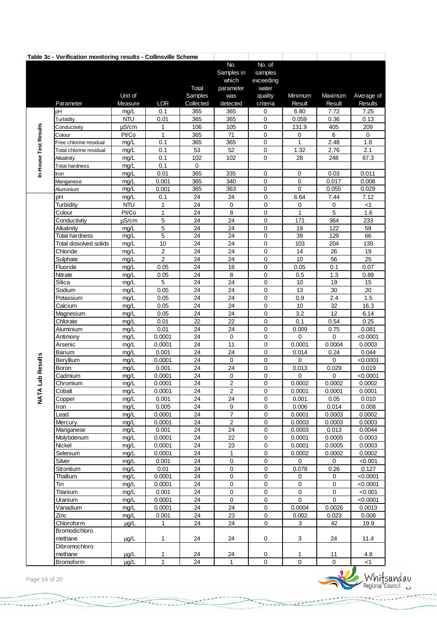| No.<br>No. of<br>Samples in<br>samples<br>which<br>exceeding<br>Total<br>water<br>parameter<br>Unit of<br>quality<br>Minimum<br>Samples<br>Maximum<br>was<br><b>LOR</b><br>Collected<br>detected<br>criteria<br>Measure<br>Result<br>Result<br>Parameter<br>mg/L<br>0.1<br>365<br>365<br>6.80<br>7.72<br>0<br>рH<br>Turbidity<br><b>NTU</b><br>365<br>0.01<br>365<br>0<br>0.059<br>0.36<br>In-House Test Results<br>µS/cm<br>106<br>0<br>$\mathbf{1}$<br>105<br>131.9<br>405<br>Conductivity<br>$\mathbf{1}$<br>Pt/Co<br>365<br>71<br>0<br>6<br>0<br>Colour<br>Free chlorine residual<br>365<br>0<br>$\mathbf{1}$<br>2.48<br>mg/L<br>0.1<br>365<br>53<br>0.1<br>52<br>0<br>2.76<br>mg/L<br>1.32<br>Total chlorine residual<br>102<br>0<br>28<br>mg/L<br>0.1<br>102<br>248<br>Alkalinity<br>0.1<br>0<br>mg/L<br>Total hardness<br>365<br>0.01<br>335<br>0<br>0<br>0.03<br>mg/L<br>Iron<br>0.001<br>365<br>0.017<br>mg/L<br>340<br>0<br>0<br>Manganese<br>365<br>363<br>0<br>0<br>0.055<br>mg/L<br>0.001<br>Aluminium<br>pH<br>24<br>0<br>mg/L<br>0.1<br>24<br>6.64<br>7.44<br><b>NTU</b><br>24<br>0<br>0<br>Turbidity<br>1<br>$\mathbf 0$<br>0<br>Colour<br>Pt/Co<br>$\mathbf{1}$<br>24<br>8<br>0<br>5<br>$\mathbf{1}$<br>5<br>µS/cm<br>24<br>24<br>$\mathbf 0$<br>171<br>364<br>Conductivity<br>5<br>24<br>24<br>$\pmb{0}$<br>19<br>122<br>mg/L<br>Alkalinity<br>5<br>24<br>24<br>$\pmb{0}$<br>39<br>mg/L<br>129<br>Total hardness<br>10<br>24<br>24<br>$\pmb{0}$<br>204<br>Total dissolved solids<br>mg/L<br>103<br>$\overline{\mathbf{c}}$<br>Chloride<br>24<br>24<br>$\mathbf 0$<br>14<br>26<br>mg/L<br>$\overline{2}$<br>24<br>24<br>10<br>Sulphate<br>0<br>56<br>mg/L<br>0.05<br>24<br>18<br>0<br>Fluoride<br>0.05<br>0.1<br>mg/L<br>24<br>8<br>0<br>1.3<br>Nitrate<br>0.05<br>0.5<br>mg/L<br>Silica<br>5<br>24<br>24<br>0<br>10<br>19<br>mg/L<br>24<br>30<br>Sodium<br>0.05<br>24<br>0<br>13<br>mg/L<br>24<br>24<br>0.05<br>0<br>0.9<br>2.4<br>Potassium<br>mg/L<br>$\overline{32}$<br>24<br>24<br>0<br>10<br>Calcium<br>0.05<br>mg/L<br>3.2<br>Magnesium<br>0.05<br>24<br>24<br>0<br>12<br>mg/L<br>22<br>22<br>Chlorate<br>0.01<br>0<br>0.1<br>0.54<br>mg/L<br>0.01<br>24<br>24<br>0<br>0.75<br>Aluminium<br>mg/L<br>0.009<br>24<br>$\boldsymbol{0}$<br>0<br>Antimony<br>0.0001<br>$\Omega$<br>0<br>mg/L<br>24<br>11<br>Arsenic<br>0.0001<br>0<br>0.0001<br>0.0004<br>mg/L<br>24<br>Barium<br>0.001<br>24<br>0<br>0.24<br>mg/L<br>0.014<br>Results<br>24<br>0<br>0<br>Beryllium<br>0.0001<br>0<br>0<br>mg/L<br>$\mathbf 0$<br>24<br>24<br>0.013<br>0.029<br>Boron<br>mg/L<br>0.001<br>24<br>0<br>0<br>Cadmium<br>0.0001<br>0<br>0<br>mg/L<br><b>NATA Lab</b><br>Chromium<br>mq/L<br>0.0001<br>24<br>2<br>0<br>0.0002<br>0.0002<br>$\overline{2}$<br>24<br>$\pmb{0}$<br>mg/L<br>0.0001<br>0.0001<br>Cobalt<br>0.0001<br>24<br>24<br>$\pmb{0}$<br>mg/L<br>0.001<br>0.001<br>0.05<br>Copper<br>9<br>$\pmb{0}$<br>0.005<br>24<br>0.006<br>0.014<br>mg/L<br>Iron<br>24<br>$\overline{7}$<br>Lead<br>mg/L<br>0.0001<br>0<br>0.0001<br>0.0003<br>24<br>2<br>0<br>0.0003<br>0.0003<br>Mercury<br>mg/L<br>0.0001<br>24<br>0.001<br>24<br>0<br>0.0003<br>0.013<br>Manganese<br>mg/L<br>$\mathsf 0$<br>Molybdenum<br>0.0001<br>24<br>22<br>0.0001<br>0.0005<br>mg/L<br>Nickel<br>24<br>23<br>0.0001<br>0.0005<br>mg/L<br>0.0001<br>0<br>24<br>$\mathsf 0$<br>0.0001<br>0.0002<br>0.0002<br>Selenium<br>mg/L<br>1<br>24<br>$\pmb{0}$<br>Silver<br>0.001<br>0<br>$\mathbf 0$<br>mg/L<br>0<br>24<br>0<br>$\pmb{0}$<br>0.078<br>0.01<br>0.26<br>Strontium<br>mg/L<br>Thallium<br>0.0001<br>24<br>0<br>$\mathsf 0$<br>mg/L<br>0<br>0<br>24<br>$\pmb{0}$<br>Tin<br>mg/L<br>0.0001<br>0<br>0<br>$\mathbf 0$<br>$\pmb{0}$<br>Titanium<br>0.001<br>24<br>0<br>0<br>mg/L<br>0<br>0<br>$\pmb{0}$<br>$\mathbf 0$<br>0.0001<br>24<br>0<br>Uranium<br>mg/L<br>24<br>24<br>$\pmb{0}$<br>0.0004<br>0.0026<br>Vanadium<br>mg/L<br>0.0001<br>Zinc<br>23<br>$\pmb{0}$<br>0.001<br>24<br>0.002<br>0.023<br>mg/L<br>$\mathsf{O}\xspace$<br>$\mathbf{1}$<br>24<br>24<br>3<br>42<br>Chloroform<br>$\mu$ g/L<br>Bromodichloro | Table 3c - Verification monitoring results - Collinsville Scheme |      |              |                 |              |                     |             |             |                   |
|---------------------------------------------------------------------------------------------------------------------------------------------------------------------------------------------------------------------------------------------------------------------------------------------------------------------------------------------------------------------------------------------------------------------------------------------------------------------------------------------------------------------------------------------------------------------------------------------------------------------------------------------------------------------------------------------------------------------------------------------------------------------------------------------------------------------------------------------------------------------------------------------------------------------------------------------------------------------------------------------------------------------------------------------------------------------------------------------------------------------------------------------------------------------------------------------------------------------------------------------------------------------------------------------------------------------------------------------------------------------------------------------------------------------------------------------------------------------------------------------------------------------------------------------------------------------------------------------------------------------------------------------------------------------------------------------------------------------------------------------------------------------------------------------------------------------------------------------------------------------------------------------------------------------------------------------------------------------------------------------------------------------------------------------------------------------------------------------------------------------------------------------------------------------------------------------------------------------------------------------------------------------------------------------------------------------------------------------------------------------------------------------------------------------------------------------------------------------------------------------------------------------------------------------------------------------------------------------------------------------------------------------------------------------------------------------------------------------------------------------------------------------------------------------------------------------------------------------------------------------------------------------------------------------------------------------------------------------------------------------------------------------------------------------------------------------------------------------------------------------------------------------------------------------------------------------------------------------------------------------------------------------------------------------------------------------------------------------------------------------------------------------------------------------------------------------------------------------------------------------------------------------------------------------------------------------------------------------------------------------------------------------------------------------------------------------------------------------------------------------------------------------------------------------------------------------------------------------------------------------------------------------------------------------------------------------------------------------------------------------------------------------------------------------------------------------------------------------------|------------------------------------------------------------------|------|--------------|-----------------|--------------|---------------------|-------------|-------------|-------------------|
|                                                                                                                                                                                                                                                                                                                                                                                                                                                                                                                                                                                                                                                                                                                                                                                                                                                                                                                                                                                                                                                                                                                                                                                                                                                                                                                                                                                                                                                                                                                                                                                                                                                                                                                                                                                                                                                                                                                                                                                                                                                                                                                                                                                                                                                                                                                                                                                                                                                                                                                                                                                                                                                                                                                                                                                                                                                                                                                                                                                                                                                                                                                                                                                                                                                                                                                                                                                                                                                                                                                                                                                                                                                                                                                                                                                                                                                                                                                                                                                                                                                                                                   |                                                                  |      |              |                 |              |                     |             |             |                   |
|                                                                                                                                                                                                                                                                                                                                                                                                                                                                                                                                                                                                                                                                                                                                                                                                                                                                                                                                                                                                                                                                                                                                                                                                                                                                                                                                                                                                                                                                                                                                                                                                                                                                                                                                                                                                                                                                                                                                                                                                                                                                                                                                                                                                                                                                                                                                                                                                                                                                                                                                                                                                                                                                                                                                                                                                                                                                                                                                                                                                                                                                                                                                                                                                                                                                                                                                                                                                                                                                                                                                                                                                                                                                                                                                                                                                                                                                                                                                                                                                                                                                                                   |                                                                  |      |              |                 |              |                     |             |             |                   |
|                                                                                                                                                                                                                                                                                                                                                                                                                                                                                                                                                                                                                                                                                                                                                                                                                                                                                                                                                                                                                                                                                                                                                                                                                                                                                                                                                                                                                                                                                                                                                                                                                                                                                                                                                                                                                                                                                                                                                                                                                                                                                                                                                                                                                                                                                                                                                                                                                                                                                                                                                                                                                                                                                                                                                                                                                                                                                                                                                                                                                                                                                                                                                                                                                                                                                                                                                                                                                                                                                                                                                                                                                                                                                                                                                                                                                                                                                                                                                                                                                                                                                                   |                                                                  |      |              |                 |              |                     |             |             |                   |
|                                                                                                                                                                                                                                                                                                                                                                                                                                                                                                                                                                                                                                                                                                                                                                                                                                                                                                                                                                                                                                                                                                                                                                                                                                                                                                                                                                                                                                                                                                                                                                                                                                                                                                                                                                                                                                                                                                                                                                                                                                                                                                                                                                                                                                                                                                                                                                                                                                                                                                                                                                                                                                                                                                                                                                                                                                                                                                                                                                                                                                                                                                                                                                                                                                                                                                                                                                                                                                                                                                                                                                                                                                                                                                                                                                                                                                                                                                                                                                                                                                                                                                   |                                                                  |      |              |                 |              |                     |             |             |                   |
|                                                                                                                                                                                                                                                                                                                                                                                                                                                                                                                                                                                                                                                                                                                                                                                                                                                                                                                                                                                                                                                                                                                                                                                                                                                                                                                                                                                                                                                                                                                                                                                                                                                                                                                                                                                                                                                                                                                                                                                                                                                                                                                                                                                                                                                                                                                                                                                                                                                                                                                                                                                                                                                                                                                                                                                                                                                                                                                                                                                                                                                                                                                                                                                                                                                                                                                                                                                                                                                                                                                                                                                                                                                                                                                                                                                                                                                                                                                                                                                                                                                                                                   |                                                                  |      |              |                 |              |                     |             |             | Average of        |
|                                                                                                                                                                                                                                                                                                                                                                                                                                                                                                                                                                                                                                                                                                                                                                                                                                                                                                                                                                                                                                                                                                                                                                                                                                                                                                                                                                                                                                                                                                                                                                                                                                                                                                                                                                                                                                                                                                                                                                                                                                                                                                                                                                                                                                                                                                                                                                                                                                                                                                                                                                                                                                                                                                                                                                                                                                                                                                                                                                                                                                                                                                                                                                                                                                                                                                                                                                                                                                                                                                                                                                                                                                                                                                                                                                                                                                                                                                                                                                                                                                                                                                   |                                                                  |      |              |                 |              |                     |             |             | <b>Results</b>    |
|                                                                                                                                                                                                                                                                                                                                                                                                                                                                                                                                                                                                                                                                                                                                                                                                                                                                                                                                                                                                                                                                                                                                                                                                                                                                                                                                                                                                                                                                                                                                                                                                                                                                                                                                                                                                                                                                                                                                                                                                                                                                                                                                                                                                                                                                                                                                                                                                                                                                                                                                                                                                                                                                                                                                                                                                                                                                                                                                                                                                                                                                                                                                                                                                                                                                                                                                                                                                                                                                                                                                                                                                                                                                                                                                                                                                                                                                                                                                                                                                                                                                                                   |                                                                  |      |              |                 |              |                     |             |             | 7.25              |
|                                                                                                                                                                                                                                                                                                                                                                                                                                                                                                                                                                                                                                                                                                                                                                                                                                                                                                                                                                                                                                                                                                                                                                                                                                                                                                                                                                                                                                                                                                                                                                                                                                                                                                                                                                                                                                                                                                                                                                                                                                                                                                                                                                                                                                                                                                                                                                                                                                                                                                                                                                                                                                                                                                                                                                                                                                                                                                                                                                                                                                                                                                                                                                                                                                                                                                                                                                                                                                                                                                                                                                                                                                                                                                                                                                                                                                                                                                                                                                                                                                                                                                   |                                                                  |      |              |                 |              |                     |             |             | 0.13              |
|                                                                                                                                                                                                                                                                                                                                                                                                                                                                                                                                                                                                                                                                                                                                                                                                                                                                                                                                                                                                                                                                                                                                                                                                                                                                                                                                                                                                                                                                                                                                                                                                                                                                                                                                                                                                                                                                                                                                                                                                                                                                                                                                                                                                                                                                                                                                                                                                                                                                                                                                                                                                                                                                                                                                                                                                                                                                                                                                                                                                                                                                                                                                                                                                                                                                                                                                                                                                                                                                                                                                                                                                                                                                                                                                                                                                                                                                                                                                                                                                                                                                                                   |                                                                  |      |              |                 |              |                     |             |             | 209               |
|                                                                                                                                                                                                                                                                                                                                                                                                                                                                                                                                                                                                                                                                                                                                                                                                                                                                                                                                                                                                                                                                                                                                                                                                                                                                                                                                                                                                                                                                                                                                                                                                                                                                                                                                                                                                                                                                                                                                                                                                                                                                                                                                                                                                                                                                                                                                                                                                                                                                                                                                                                                                                                                                                                                                                                                                                                                                                                                                                                                                                                                                                                                                                                                                                                                                                                                                                                                                                                                                                                                                                                                                                                                                                                                                                                                                                                                                                                                                                                                                                                                                                                   |                                                                  |      |              |                 |              |                     |             |             | $\mathbf 0$       |
|                                                                                                                                                                                                                                                                                                                                                                                                                                                                                                                                                                                                                                                                                                                                                                                                                                                                                                                                                                                                                                                                                                                                                                                                                                                                                                                                                                                                                                                                                                                                                                                                                                                                                                                                                                                                                                                                                                                                                                                                                                                                                                                                                                                                                                                                                                                                                                                                                                                                                                                                                                                                                                                                                                                                                                                                                                                                                                                                                                                                                                                                                                                                                                                                                                                                                                                                                                                                                                                                                                                                                                                                                                                                                                                                                                                                                                                                                                                                                                                                                                                                                                   |                                                                  |      |              |                 |              |                     |             |             | 1.8               |
|                                                                                                                                                                                                                                                                                                                                                                                                                                                                                                                                                                                                                                                                                                                                                                                                                                                                                                                                                                                                                                                                                                                                                                                                                                                                                                                                                                                                                                                                                                                                                                                                                                                                                                                                                                                                                                                                                                                                                                                                                                                                                                                                                                                                                                                                                                                                                                                                                                                                                                                                                                                                                                                                                                                                                                                                                                                                                                                                                                                                                                                                                                                                                                                                                                                                                                                                                                                                                                                                                                                                                                                                                                                                                                                                                                                                                                                                                                                                                                                                                                                                                                   |                                                                  |      |              |                 |              |                     |             |             | 2.1               |
|                                                                                                                                                                                                                                                                                                                                                                                                                                                                                                                                                                                                                                                                                                                                                                                                                                                                                                                                                                                                                                                                                                                                                                                                                                                                                                                                                                                                                                                                                                                                                                                                                                                                                                                                                                                                                                                                                                                                                                                                                                                                                                                                                                                                                                                                                                                                                                                                                                                                                                                                                                                                                                                                                                                                                                                                                                                                                                                                                                                                                                                                                                                                                                                                                                                                                                                                                                                                                                                                                                                                                                                                                                                                                                                                                                                                                                                                                                                                                                                                                                                                                                   |                                                                  |      |              |                 |              |                     |             |             | 67.3              |
|                                                                                                                                                                                                                                                                                                                                                                                                                                                                                                                                                                                                                                                                                                                                                                                                                                                                                                                                                                                                                                                                                                                                                                                                                                                                                                                                                                                                                                                                                                                                                                                                                                                                                                                                                                                                                                                                                                                                                                                                                                                                                                                                                                                                                                                                                                                                                                                                                                                                                                                                                                                                                                                                                                                                                                                                                                                                                                                                                                                                                                                                                                                                                                                                                                                                                                                                                                                                                                                                                                                                                                                                                                                                                                                                                                                                                                                                                                                                                                                                                                                                                                   |                                                                  |      |              |                 |              |                     |             |             | 0.011             |
|                                                                                                                                                                                                                                                                                                                                                                                                                                                                                                                                                                                                                                                                                                                                                                                                                                                                                                                                                                                                                                                                                                                                                                                                                                                                                                                                                                                                                                                                                                                                                                                                                                                                                                                                                                                                                                                                                                                                                                                                                                                                                                                                                                                                                                                                                                                                                                                                                                                                                                                                                                                                                                                                                                                                                                                                                                                                                                                                                                                                                                                                                                                                                                                                                                                                                                                                                                                                                                                                                                                                                                                                                                                                                                                                                                                                                                                                                                                                                                                                                                                                                                   |                                                                  |      |              |                 |              |                     |             |             | 0.008             |
|                                                                                                                                                                                                                                                                                                                                                                                                                                                                                                                                                                                                                                                                                                                                                                                                                                                                                                                                                                                                                                                                                                                                                                                                                                                                                                                                                                                                                                                                                                                                                                                                                                                                                                                                                                                                                                                                                                                                                                                                                                                                                                                                                                                                                                                                                                                                                                                                                                                                                                                                                                                                                                                                                                                                                                                                                                                                                                                                                                                                                                                                                                                                                                                                                                                                                                                                                                                                                                                                                                                                                                                                                                                                                                                                                                                                                                                                                                                                                                                                                                                                                                   |                                                                  |      |              |                 |              |                     |             |             | 0.029             |
|                                                                                                                                                                                                                                                                                                                                                                                                                                                                                                                                                                                                                                                                                                                                                                                                                                                                                                                                                                                                                                                                                                                                                                                                                                                                                                                                                                                                                                                                                                                                                                                                                                                                                                                                                                                                                                                                                                                                                                                                                                                                                                                                                                                                                                                                                                                                                                                                                                                                                                                                                                                                                                                                                                                                                                                                                                                                                                                                                                                                                                                                                                                                                                                                                                                                                                                                                                                                                                                                                                                                                                                                                                                                                                                                                                                                                                                                                                                                                                                                                                                                                                   |                                                                  |      |              |                 |              |                     |             |             | 7.12              |
|                                                                                                                                                                                                                                                                                                                                                                                                                                                                                                                                                                                                                                                                                                                                                                                                                                                                                                                                                                                                                                                                                                                                                                                                                                                                                                                                                                                                                                                                                                                                                                                                                                                                                                                                                                                                                                                                                                                                                                                                                                                                                                                                                                                                                                                                                                                                                                                                                                                                                                                                                                                                                                                                                                                                                                                                                                                                                                                                                                                                                                                                                                                                                                                                                                                                                                                                                                                                                                                                                                                                                                                                                                                                                                                                                                                                                                                                                                                                                                                                                                                                                                   |                                                                  |      |              |                 |              |                     |             |             | $<$ 1             |
|                                                                                                                                                                                                                                                                                                                                                                                                                                                                                                                                                                                                                                                                                                                                                                                                                                                                                                                                                                                                                                                                                                                                                                                                                                                                                                                                                                                                                                                                                                                                                                                                                                                                                                                                                                                                                                                                                                                                                                                                                                                                                                                                                                                                                                                                                                                                                                                                                                                                                                                                                                                                                                                                                                                                                                                                                                                                                                                                                                                                                                                                                                                                                                                                                                                                                                                                                                                                                                                                                                                                                                                                                                                                                                                                                                                                                                                                                                                                                                                                                                                                                                   |                                                                  |      |              |                 |              |                     |             |             | 1.6               |
|                                                                                                                                                                                                                                                                                                                                                                                                                                                                                                                                                                                                                                                                                                                                                                                                                                                                                                                                                                                                                                                                                                                                                                                                                                                                                                                                                                                                                                                                                                                                                                                                                                                                                                                                                                                                                                                                                                                                                                                                                                                                                                                                                                                                                                                                                                                                                                                                                                                                                                                                                                                                                                                                                                                                                                                                                                                                                                                                                                                                                                                                                                                                                                                                                                                                                                                                                                                                                                                                                                                                                                                                                                                                                                                                                                                                                                                                                                                                                                                                                                                                                                   |                                                                  |      |              |                 |              |                     |             |             | 233               |
|                                                                                                                                                                                                                                                                                                                                                                                                                                                                                                                                                                                                                                                                                                                                                                                                                                                                                                                                                                                                                                                                                                                                                                                                                                                                                                                                                                                                                                                                                                                                                                                                                                                                                                                                                                                                                                                                                                                                                                                                                                                                                                                                                                                                                                                                                                                                                                                                                                                                                                                                                                                                                                                                                                                                                                                                                                                                                                                                                                                                                                                                                                                                                                                                                                                                                                                                                                                                                                                                                                                                                                                                                                                                                                                                                                                                                                                                                                                                                                                                                                                                                                   |                                                                  |      |              |                 |              |                     |             |             | 59                |
|                                                                                                                                                                                                                                                                                                                                                                                                                                                                                                                                                                                                                                                                                                                                                                                                                                                                                                                                                                                                                                                                                                                                                                                                                                                                                                                                                                                                                                                                                                                                                                                                                                                                                                                                                                                                                                                                                                                                                                                                                                                                                                                                                                                                                                                                                                                                                                                                                                                                                                                                                                                                                                                                                                                                                                                                                                                                                                                                                                                                                                                                                                                                                                                                                                                                                                                                                                                                                                                                                                                                                                                                                                                                                                                                                                                                                                                                                                                                                                                                                                                                                                   |                                                                  |      |              |                 |              |                     |             |             | 66                |
|                                                                                                                                                                                                                                                                                                                                                                                                                                                                                                                                                                                                                                                                                                                                                                                                                                                                                                                                                                                                                                                                                                                                                                                                                                                                                                                                                                                                                                                                                                                                                                                                                                                                                                                                                                                                                                                                                                                                                                                                                                                                                                                                                                                                                                                                                                                                                                                                                                                                                                                                                                                                                                                                                                                                                                                                                                                                                                                                                                                                                                                                                                                                                                                                                                                                                                                                                                                                                                                                                                                                                                                                                                                                                                                                                                                                                                                                                                                                                                                                                                                                                                   |                                                                  |      |              |                 |              |                     |             |             | 139               |
|                                                                                                                                                                                                                                                                                                                                                                                                                                                                                                                                                                                                                                                                                                                                                                                                                                                                                                                                                                                                                                                                                                                                                                                                                                                                                                                                                                                                                                                                                                                                                                                                                                                                                                                                                                                                                                                                                                                                                                                                                                                                                                                                                                                                                                                                                                                                                                                                                                                                                                                                                                                                                                                                                                                                                                                                                                                                                                                                                                                                                                                                                                                                                                                                                                                                                                                                                                                                                                                                                                                                                                                                                                                                                                                                                                                                                                                                                                                                                                                                                                                                                                   |                                                                  |      |              |                 |              |                     |             |             | 19                |
|                                                                                                                                                                                                                                                                                                                                                                                                                                                                                                                                                                                                                                                                                                                                                                                                                                                                                                                                                                                                                                                                                                                                                                                                                                                                                                                                                                                                                                                                                                                                                                                                                                                                                                                                                                                                                                                                                                                                                                                                                                                                                                                                                                                                                                                                                                                                                                                                                                                                                                                                                                                                                                                                                                                                                                                                                                                                                                                                                                                                                                                                                                                                                                                                                                                                                                                                                                                                                                                                                                                                                                                                                                                                                                                                                                                                                                                                                                                                                                                                                                                                                                   |                                                                  |      |              |                 |              |                     |             |             | 25                |
|                                                                                                                                                                                                                                                                                                                                                                                                                                                                                                                                                                                                                                                                                                                                                                                                                                                                                                                                                                                                                                                                                                                                                                                                                                                                                                                                                                                                                                                                                                                                                                                                                                                                                                                                                                                                                                                                                                                                                                                                                                                                                                                                                                                                                                                                                                                                                                                                                                                                                                                                                                                                                                                                                                                                                                                                                                                                                                                                                                                                                                                                                                                                                                                                                                                                                                                                                                                                                                                                                                                                                                                                                                                                                                                                                                                                                                                                                                                                                                                                                                                                                                   |                                                                  |      |              |                 |              |                     |             |             | 0.07              |
|                                                                                                                                                                                                                                                                                                                                                                                                                                                                                                                                                                                                                                                                                                                                                                                                                                                                                                                                                                                                                                                                                                                                                                                                                                                                                                                                                                                                                                                                                                                                                                                                                                                                                                                                                                                                                                                                                                                                                                                                                                                                                                                                                                                                                                                                                                                                                                                                                                                                                                                                                                                                                                                                                                                                                                                                                                                                                                                                                                                                                                                                                                                                                                                                                                                                                                                                                                                                                                                                                                                                                                                                                                                                                                                                                                                                                                                                                                                                                                                                                                                                                                   |                                                                  |      |              |                 |              |                     |             |             | 0.89              |
|                                                                                                                                                                                                                                                                                                                                                                                                                                                                                                                                                                                                                                                                                                                                                                                                                                                                                                                                                                                                                                                                                                                                                                                                                                                                                                                                                                                                                                                                                                                                                                                                                                                                                                                                                                                                                                                                                                                                                                                                                                                                                                                                                                                                                                                                                                                                                                                                                                                                                                                                                                                                                                                                                                                                                                                                                                                                                                                                                                                                                                                                                                                                                                                                                                                                                                                                                                                                                                                                                                                                                                                                                                                                                                                                                                                                                                                                                                                                                                                                                                                                                                   |                                                                  |      |              |                 |              |                     |             |             | 15                |
|                                                                                                                                                                                                                                                                                                                                                                                                                                                                                                                                                                                                                                                                                                                                                                                                                                                                                                                                                                                                                                                                                                                                                                                                                                                                                                                                                                                                                                                                                                                                                                                                                                                                                                                                                                                                                                                                                                                                                                                                                                                                                                                                                                                                                                                                                                                                                                                                                                                                                                                                                                                                                                                                                                                                                                                                                                                                                                                                                                                                                                                                                                                                                                                                                                                                                                                                                                                                                                                                                                                                                                                                                                                                                                                                                                                                                                                                                                                                                                                                                                                                                                   |                                                                  |      |              |                 |              |                     |             |             | 20                |
|                                                                                                                                                                                                                                                                                                                                                                                                                                                                                                                                                                                                                                                                                                                                                                                                                                                                                                                                                                                                                                                                                                                                                                                                                                                                                                                                                                                                                                                                                                                                                                                                                                                                                                                                                                                                                                                                                                                                                                                                                                                                                                                                                                                                                                                                                                                                                                                                                                                                                                                                                                                                                                                                                                                                                                                                                                                                                                                                                                                                                                                                                                                                                                                                                                                                                                                                                                                                                                                                                                                                                                                                                                                                                                                                                                                                                                                                                                                                                                                                                                                                                                   |                                                                  |      |              |                 |              |                     |             |             | 1.5               |
|                                                                                                                                                                                                                                                                                                                                                                                                                                                                                                                                                                                                                                                                                                                                                                                                                                                                                                                                                                                                                                                                                                                                                                                                                                                                                                                                                                                                                                                                                                                                                                                                                                                                                                                                                                                                                                                                                                                                                                                                                                                                                                                                                                                                                                                                                                                                                                                                                                                                                                                                                                                                                                                                                                                                                                                                                                                                                                                                                                                                                                                                                                                                                                                                                                                                                                                                                                                                                                                                                                                                                                                                                                                                                                                                                                                                                                                                                                                                                                                                                                                                                                   |                                                                  |      |              |                 |              |                     |             |             | 16.3              |
|                                                                                                                                                                                                                                                                                                                                                                                                                                                                                                                                                                                                                                                                                                                                                                                                                                                                                                                                                                                                                                                                                                                                                                                                                                                                                                                                                                                                                                                                                                                                                                                                                                                                                                                                                                                                                                                                                                                                                                                                                                                                                                                                                                                                                                                                                                                                                                                                                                                                                                                                                                                                                                                                                                                                                                                                                                                                                                                                                                                                                                                                                                                                                                                                                                                                                                                                                                                                                                                                                                                                                                                                                                                                                                                                                                                                                                                                                                                                                                                                                                                                                                   |                                                                  |      |              |                 |              |                     |             |             | 6.14              |
|                                                                                                                                                                                                                                                                                                                                                                                                                                                                                                                                                                                                                                                                                                                                                                                                                                                                                                                                                                                                                                                                                                                                                                                                                                                                                                                                                                                                                                                                                                                                                                                                                                                                                                                                                                                                                                                                                                                                                                                                                                                                                                                                                                                                                                                                                                                                                                                                                                                                                                                                                                                                                                                                                                                                                                                                                                                                                                                                                                                                                                                                                                                                                                                                                                                                                                                                                                                                                                                                                                                                                                                                                                                                                                                                                                                                                                                                                                                                                                                                                                                                                                   |                                                                  |      |              |                 |              |                     |             |             | 0.25              |
|                                                                                                                                                                                                                                                                                                                                                                                                                                                                                                                                                                                                                                                                                                                                                                                                                                                                                                                                                                                                                                                                                                                                                                                                                                                                                                                                                                                                                                                                                                                                                                                                                                                                                                                                                                                                                                                                                                                                                                                                                                                                                                                                                                                                                                                                                                                                                                                                                                                                                                                                                                                                                                                                                                                                                                                                                                                                                                                                                                                                                                                                                                                                                                                                                                                                                                                                                                                                                                                                                                                                                                                                                                                                                                                                                                                                                                                                                                                                                                                                                                                                                                   |                                                                  |      |              |                 |              |                     |             |             | 0.081             |
|                                                                                                                                                                                                                                                                                                                                                                                                                                                                                                                                                                                                                                                                                                                                                                                                                                                                                                                                                                                                                                                                                                                                                                                                                                                                                                                                                                                                                                                                                                                                                                                                                                                                                                                                                                                                                                                                                                                                                                                                                                                                                                                                                                                                                                                                                                                                                                                                                                                                                                                                                                                                                                                                                                                                                                                                                                                                                                                                                                                                                                                                                                                                                                                                                                                                                                                                                                                                                                                                                                                                                                                                                                                                                                                                                                                                                                                                                                                                                                                                                                                                                                   |                                                                  |      |              |                 |              |                     |             |             | < 0.0001          |
|                                                                                                                                                                                                                                                                                                                                                                                                                                                                                                                                                                                                                                                                                                                                                                                                                                                                                                                                                                                                                                                                                                                                                                                                                                                                                                                                                                                                                                                                                                                                                                                                                                                                                                                                                                                                                                                                                                                                                                                                                                                                                                                                                                                                                                                                                                                                                                                                                                                                                                                                                                                                                                                                                                                                                                                                                                                                                                                                                                                                                                                                                                                                                                                                                                                                                                                                                                                                                                                                                                                                                                                                                                                                                                                                                                                                                                                                                                                                                                                                                                                                                                   |                                                                  |      |              |                 |              |                     |             |             | 0.0003            |
|                                                                                                                                                                                                                                                                                                                                                                                                                                                                                                                                                                                                                                                                                                                                                                                                                                                                                                                                                                                                                                                                                                                                                                                                                                                                                                                                                                                                                                                                                                                                                                                                                                                                                                                                                                                                                                                                                                                                                                                                                                                                                                                                                                                                                                                                                                                                                                                                                                                                                                                                                                                                                                                                                                                                                                                                                                                                                                                                                                                                                                                                                                                                                                                                                                                                                                                                                                                                                                                                                                                                                                                                                                                                                                                                                                                                                                                                                                                                                                                                                                                                                                   |                                                                  |      |              |                 |              |                     |             |             | 0.044             |
|                                                                                                                                                                                                                                                                                                                                                                                                                                                                                                                                                                                                                                                                                                                                                                                                                                                                                                                                                                                                                                                                                                                                                                                                                                                                                                                                                                                                                                                                                                                                                                                                                                                                                                                                                                                                                                                                                                                                                                                                                                                                                                                                                                                                                                                                                                                                                                                                                                                                                                                                                                                                                                                                                                                                                                                                                                                                                                                                                                                                                                                                                                                                                                                                                                                                                                                                                                                                                                                                                                                                                                                                                                                                                                                                                                                                                                                                                                                                                                                                                                                                                                   |                                                                  |      |              |                 |              |                     |             |             | < 0.0001<br>0.019 |
|                                                                                                                                                                                                                                                                                                                                                                                                                                                                                                                                                                                                                                                                                                                                                                                                                                                                                                                                                                                                                                                                                                                                                                                                                                                                                                                                                                                                                                                                                                                                                                                                                                                                                                                                                                                                                                                                                                                                                                                                                                                                                                                                                                                                                                                                                                                                                                                                                                                                                                                                                                                                                                                                                                                                                                                                                                                                                                                                                                                                                                                                                                                                                                                                                                                                                                                                                                                                                                                                                                                                                                                                                                                                                                                                                                                                                                                                                                                                                                                                                                                                                                   |                                                                  |      |              |                 |              |                     |             |             | < 0.0001          |
|                                                                                                                                                                                                                                                                                                                                                                                                                                                                                                                                                                                                                                                                                                                                                                                                                                                                                                                                                                                                                                                                                                                                                                                                                                                                                                                                                                                                                                                                                                                                                                                                                                                                                                                                                                                                                                                                                                                                                                                                                                                                                                                                                                                                                                                                                                                                                                                                                                                                                                                                                                                                                                                                                                                                                                                                                                                                                                                                                                                                                                                                                                                                                                                                                                                                                                                                                                                                                                                                                                                                                                                                                                                                                                                                                                                                                                                                                                                                                                                                                                                                                                   |                                                                  |      |              |                 |              |                     |             |             | 0.0002            |
|                                                                                                                                                                                                                                                                                                                                                                                                                                                                                                                                                                                                                                                                                                                                                                                                                                                                                                                                                                                                                                                                                                                                                                                                                                                                                                                                                                                                                                                                                                                                                                                                                                                                                                                                                                                                                                                                                                                                                                                                                                                                                                                                                                                                                                                                                                                                                                                                                                                                                                                                                                                                                                                                                                                                                                                                                                                                                                                                                                                                                                                                                                                                                                                                                                                                                                                                                                                                                                                                                                                                                                                                                                                                                                                                                                                                                                                                                                                                                                                                                                                                                                   |                                                                  |      |              |                 |              |                     |             |             | 0.0001            |
|                                                                                                                                                                                                                                                                                                                                                                                                                                                                                                                                                                                                                                                                                                                                                                                                                                                                                                                                                                                                                                                                                                                                                                                                                                                                                                                                                                                                                                                                                                                                                                                                                                                                                                                                                                                                                                                                                                                                                                                                                                                                                                                                                                                                                                                                                                                                                                                                                                                                                                                                                                                                                                                                                                                                                                                                                                                                                                                                                                                                                                                                                                                                                                                                                                                                                                                                                                                                                                                                                                                                                                                                                                                                                                                                                                                                                                                                                                                                                                                                                                                                                                   |                                                                  |      |              |                 |              |                     |             |             | 0.010             |
|                                                                                                                                                                                                                                                                                                                                                                                                                                                                                                                                                                                                                                                                                                                                                                                                                                                                                                                                                                                                                                                                                                                                                                                                                                                                                                                                                                                                                                                                                                                                                                                                                                                                                                                                                                                                                                                                                                                                                                                                                                                                                                                                                                                                                                                                                                                                                                                                                                                                                                                                                                                                                                                                                                                                                                                                                                                                                                                                                                                                                                                                                                                                                                                                                                                                                                                                                                                                                                                                                                                                                                                                                                                                                                                                                                                                                                                                                                                                                                                                                                                                                                   |                                                                  |      |              |                 |              |                     |             |             | 0.008             |
|                                                                                                                                                                                                                                                                                                                                                                                                                                                                                                                                                                                                                                                                                                                                                                                                                                                                                                                                                                                                                                                                                                                                                                                                                                                                                                                                                                                                                                                                                                                                                                                                                                                                                                                                                                                                                                                                                                                                                                                                                                                                                                                                                                                                                                                                                                                                                                                                                                                                                                                                                                                                                                                                                                                                                                                                                                                                                                                                                                                                                                                                                                                                                                                                                                                                                                                                                                                                                                                                                                                                                                                                                                                                                                                                                                                                                                                                                                                                                                                                                                                                                                   |                                                                  |      |              |                 |              |                     |             |             | 0.0002            |
|                                                                                                                                                                                                                                                                                                                                                                                                                                                                                                                                                                                                                                                                                                                                                                                                                                                                                                                                                                                                                                                                                                                                                                                                                                                                                                                                                                                                                                                                                                                                                                                                                                                                                                                                                                                                                                                                                                                                                                                                                                                                                                                                                                                                                                                                                                                                                                                                                                                                                                                                                                                                                                                                                                                                                                                                                                                                                                                                                                                                                                                                                                                                                                                                                                                                                                                                                                                                                                                                                                                                                                                                                                                                                                                                                                                                                                                                                                                                                                                                                                                                                                   |                                                                  |      |              |                 |              |                     |             |             | 0.0003            |
|                                                                                                                                                                                                                                                                                                                                                                                                                                                                                                                                                                                                                                                                                                                                                                                                                                                                                                                                                                                                                                                                                                                                                                                                                                                                                                                                                                                                                                                                                                                                                                                                                                                                                                                                                                                                                                                                                                                                                                                                                                                                                                                                                                                                                                                                                                                                                                                                                                                                                                                                                                                                                                                                                                                                                                                                                                                                                                                                                                                                                                                                                                                                                                                                                                                                                                                                                                                                                                                                                                                                                                                                                                                                                                                                                                                                                                                                                                                                                                                                                                                                                                   |                                                                  |      |              |                 |              |                     |             |             | 0.0044            |
|                                                                                                                                                                                                                                                                                                                                                                                                                                                                                                                                                                                                                                                                                                                                                                                                                                                                                                                                                                                                                                                                                                                                                                                                                                                                                                                                                                                                                                                                                                                                                                                                                                                                                                                                                                                                                                                                                                                                                                                                                                                                                                                                                                                                                                                                                                                                                                                                                                                                                                                                                                                                                                                                                                                                                                                                                                                                                                                                                                                                                                                                                                                                                                                                                                                                                                                                                                                                                                                                                                                                                                                                                                                                                                                                                                                                                                                                                                                                                                                                                                                                                                   |                                                                  |      |              |                 |              |                     |             |             | 0.0003            |
|                                                                                                                                                                                                                                                                                                                                                                                                                                                                                                                                                                                                                                                                                                                                                                                                                                                                                                                                                                                                                                                                                                                                                                                                                                                                                                                                                                                                                                                                                                                                                                                                                                                                                                                                                                                                                                                                                                                                                                                                                                                                                                                                                                                                                                                                                                                                                                                                                                                                                                                                                                                                                                                                                                                                                                                                                                                                                                                                                                                                                                                                                                                                                                                                                                                                                                                                                                                                                                                                                                                                                                                                                                                                                                                                                                                                                                                                                                                                                                                                                                                                                                   |                                                                  |      |              |                 |              |                     |             |             | 0.0003            |
|                                                                                                                                                                                                                                                                                                                                                                                                                                                                                                                                                                                                                                                                                                                                                                                                                                                                                                                                                                                                                                                                                                                                                                                                                                                                                                                                                                                                                                                                                                                                                                                                                                                                                                                                                                                                                                                                                                                                                                                                                                                                                                                                                                                                                                                                                                                                                                                                                                                                                                                                                                                                                                                                                                                                                                                                                                                                                                                                                                                                                                                                                                                                                                                                                                                                                                                                                                                                                                                                                                                                                                                                                                                                                                                                                                                                                                                                                                                                                                                                                                                                                                   |                                                                  |      |              |                 |              |                     |             |             | 0.0002            |
|                                                                                                                                                                                                                                                                                                                                                                                                                                                                                                                                                                                                                                                                                                                                                                                                                                                                                                                                                                                                                                                                                                                                                                                                                                                                                                                                                                                                                                                                                                                                                                                                                                                                                                                                                                                                                                                                                                                                                                                                                                                                                                                                                                                                                                                                                                                                                                                                                                                                                                                                                                                                                                                                                                                                                                                                                                                                                                                                                                                                                                                                                                                                                                                                                                                                                                                                                                                                                                                                                                                                                                                                                                                                                                                                                                                                                                                                                                                                                                                                                                                                                                   |                                                                  |      |              |                 |              |                     |             |             | < 0.001           |
|                                                                                                                                                                                                                                                                                                                                                                                                                                                                                                                                                                                                                                                                                                                                                                                                                                                                                                                                                                                                                                                                                                                                                                                                                                                                                                                                                                                                                                                                                                                                                                                                                                                                                                                                                                                                                                                                                                                                                                                                                                                                                                                                                                                                                                                                                                                                                                                                                                                                                                                                                                                                                                                                                                                                                                                                                                                                                                                                                                                                                                                                                                                                                                                                                                                                                                                                                                                                                                                                                                                                                                                                                                                                                                                                                                                                                                                                                                                                                                                                                                                                                                   |                                                                  |      |              |                 |              |                     |             |             | 0.127             |
|                                                                                                                                                                                                                                                                                                                                                                                                                                                                                                                                                                                                                                                                                                                                                                                                                                                                                                                                                                                                                                                                                                                                                                                                                                                                                                                                                                                                                                                                                                                                                                                                                                                                                                                                                                                                                                                                                                                                                                                                                                                                                                                                                                                                                                                                                                                                                                                                                                                                                                                                                                                                                                                                                                                                                                                                                                                                                                                                                                                                                                                                                                                                                                                                                                                                                                                                                                                                                                                                                                                                                                                                                                                                                                                                                                                                                                                                                                                                                                                                                                                                                                   |                                                                  |      |              |                 |              |                     |             |             | < 0.0001          |
|                                                                                                                                                                                                                                                                                                                                                                                                                                                                                                                                                                                                                                                                                                                                                                                                                                                                                                                                                                                                                                                                                                                                                                                                                                                                                                                                                                                                                                                                                                                                                                                                                                                                                                                                                                                                                                                                                                                                                                                                                                                                                                                                                                                                                                                                                                                                                                                                                                                                                                                                                                                                                                                                                                                                                                                                                                                                                                                                                                                                                                                                                                                                                                                                                                                                                                                                                                                                                                                                                                                                                                                                                                                                                                                                                                                                                                                                                                                                                                                                                                                                                                   |                                                                  |      |              |                 |              |                     |             |             | < 0.0001          |
|                                                                                                                                                                                                                                                                                                                                                                                                                                                                                                                                                                                                                                                                                                                                                                                                                                                                                                                                                                                                                                                                                                                                                                                                                                                                                                                                                                                                                                                                                                                                                                                                                                                                                                                                                                                                                                                                                                                                                                                                                                                                                                                                                                                                                                                                                                                                                                                                                                                                                                                                                                                                                                                                                                                                                                                                                                                                                                                                                                                                                                                                                                                                                                                                                                                                                                                                                                                                                                                                                                                                                                                                                                                                                                                                                                                                                                                                                                                                                                                                                                                                                                   |                                                                  |      |              |                 |              |                     |             |             | < 0.001           |
|                                                                                                                                                                                                                                                                                                                                                                                                                                                                                                                                                                                                                                                                                                                                                                                                                                                                                                                                                                                                                                                                                                                                                                                                                                                                                                                                                                                                                                                                                                                                                                                                                                                                                                                                                                                                                                                                                                                                                                                                                                                                                                                                                                                                                                                                                                                                                                                                                                                                                                                                                                                                                                                                                                                                                                                                                                                                                                                                                                                                                                                                                                                                                                                                                                                                                                                                                                                                                                                                                                                                                                                                                                                                                                                                                                                                                                                                                                                                                                                                                                                                                                   |                                                                  |      |              |                 |              |                     |             |             | < 0.0001          |
|                                                                                                                                                                                                                                                                                                                                                                                                                                                                                                                                                                                                                                                                                                                                                                                                                                                                                                                                                                                                                                                                                                                                                                                                                                                                                                                                                                                                                                                                                                                                                                                                                                                                                                                                                                                                                                                                                                                                                                                                                                                                                                                                                                                                                                                                                                                                                                                                                                                                                                                                                                                                                                                                                                                                                                                                                                                                                                                                                                                                                                                                                                                                                                                                                                                                                                                                                                                                                                                                                                                                                                                                                                                                                                                                                                                                                                                                                                                                                                                                                                                                                                   |                                                                  |      |              |                 |              |                     |             |             | 0.0013            |
|                                                                                                                                                                                                                                                                                                                                                                                                                                                                                                                                                                                                                                                                                                                                                                                                                                                                                                                                                                                                                                                                                                                                                                                                                                                                                                                                                                                                                                                                                                                                                                                                                                                                                                                                                                                                                                                                                                                                                                                                                                                                                                                                                                                                                                                                                                                                                                                                                                                                                                                                                                                                                                                                                                                                                                                                                                                                                                                                                                                                                                                                                                                                                                                                                                                                                                                                                                                                                                                                                                                                                                                                                                                                                                                                                                                                                                                                                                                                                                                                                                                                                                   |                                                                  |      |              |                 |              |                     |             |             | 0.008             |
|                                                                                                                                                                                                                                                                                                                                                                                                                                                                                                                                                                                                                                                                                                                                                                                                                                                                                                                                                                                                                                                                                                                                                                                                                                                                                                                                                                                                                                                                                                                                                                                                                                                                                                                                                                                                                                                                                                                                                                                                                                                                                                                                                                                                                                                                                                                                                                                                                                                                                                                                                                                                                                                                                                                                                                                                                                                                                                                                                                                                                                                                                                                                                                                                                                                                                                                                                                                                                                                                                                                                                                                                                                                                                                                                                                                                                                                                                                                                                                                                                                                                                                   |                                                                  |      |              |                 |              |                     |             |             | 19.9              |
|                                                                                                                                                                                                                                                                                                                                                                                                                                                                                                                                                                                                                                                                                                                                                                                                                                                                                                                                                                                                                                                                                                                                                                                                                                                                                                                                                                                                                                                                                                                                                                                                                                                                                                                                                                                                                                                                                                                                                                                                                                                                                                                                                                                                                                                                                                                                                                                                                                                                                                                                                                                                                                                                                                                                                                                                                                                                                                                                                                                                                                                                                                                                                                                                                                                                                                                                                                                                                                                                                                                                                                                                                                                                                                                                                                                                                                                                                                                                                                                                                                                                                                   |                                                                  |      |              |                 |              |                     |             |             |                   |
| methane<br>24<br>24<br>0<br>3<br>24<br>$\mu$ g/L<br>1<br>Dibromochloro                                                                                                                                                                                                                                                                                                                                                                                                                                                                                                                                                                                                                                                                                                                                                                                                                                                                                                                                                                                                                                                                                                                                                                                                                                                                                                                                                                                                                                                                                                                                                                                                                                                                                                                                                                                                                                                                                                                                                                                                                                                                                                                                                                                                                                                                                                                                                                                                                                                                                                                                                                                                                                                                                                                                                                                                                                                                                                                                                                                                                                                                                                                                                                                                                                                                                                                                                                                                                                                                                                                                                                                                                                                                                                                                                                                                                                                                                                                                                                                                                            |                                                                  |      |              |                 |              |                     |             |             | 11.4              |
| methane<br>24<br>24<br>0<br>11<br>$\mu$ g/L<br>1<br>1                                                                                                                                                                                                                                                                                                                                                                                                                                                                                                                                                                                                                                                                                                                                                                                                                                                                                                                                                                                                                                                                                                                                                                                                                                                                                                                                                                                                                                                                                                                                                                                                                                                                                                                                                                                                                                                                                                                                                                                                                                                                                                                                                                                                                                                                                                                                                                                                                                                                                                                                                                                                                                                                                                                                                                                                                                                                                                                                                                                                                                                                                                                                                                                                                                                                                                                                                                                                                                                                                                                                                                                                                                                                                                                                                                                                                                                                                                                                                                                                                                             |                                                                  |      |              |                 |              |                     |             |             | 4.8               |
|                                                                                                                                                                                                                                                                                                                                                                                                                                                                                                                                                                                                                                                                                                                                                                                                                                                                                                                                                                                                                                                                                                                                                                                                                                                                                                                                                                                                                                                                                                                                                                                                                                                                                                                                                                                                                                                                                                                                                                                                                                                                                                                                                                                                                                                                                                                                                                                                                                                                                                                                                                                                                                                                                                                                                                                                                                                                                                                                                                                                                                                                                                                                                                                                                                                                                                                                                                                                                                                                                                                                                                                                                                                                                                                                                                                                                                                                                                                                                                                                                                                                                                   | <b>Bromoform</b>                                                 |      | $\mathbf{1}$ | $\overline{24}$ | $\mathbf{1}$ | $\mathsf{O}\xspace$ | $\mathbf 0$ | $\mathsf 0$ | $<$ 1             |
|                                                                                                                                                                                                                                                                                                                                                                                                                                                                                                                                                                                                                                                                                                                                                                                                                                                                                                                                                                                                                                                                                                                                                                                                                                                                                                                                                                                                                                                                                                                                                                                                                                                                                                                                                                                                                                                                                                                                                                                                                                                                                                                                                                                                                                                                                                                                                                                                                                                                                                                                                                                                                                                                                                                                                                                                                                                                                                                                                                                                                                                                                                                                                                                                                                                                                                                                                                                                                                                                                                                                                                                                                                                                                                                                                                                                                                                                                                                                                                                                                                                                                                   |                                                                  | µg/L |              |                 |              |                     |             |             |                   |



41

τ ×. -------

 $\frac{1}{2}$ 

-------



 $- - - - -$ 

**Sales**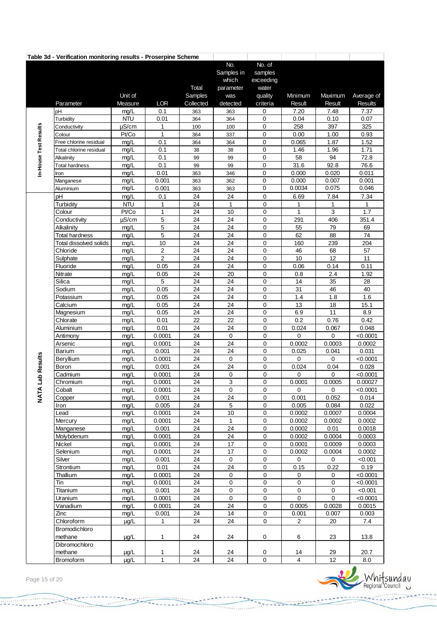|                       | Table 3d - Verification monitoring results - Proserpine Scheme |              |                  |                       |                                        |                     |                |              |                     |
|-----------------------|----------------------------------------------------------------|--------------|------------------|-----------------------|----------------------------------------|---------------------|----------------|--------------|---------------------|
|                       |                                                                |              |                  |                       | No.                                    | No. of              |                |              |                     |
|                       |                                                                |              |                  |                       | Samples in                             | samples             |                |              |                     |
|                       |                                                                |              |                  |                       | which                                  | exceeding           |                |              |                     |
|                       |                                                                |              |                  | Total                 | parameter                              | water               |                |              |                     |
|                       |                                                                | Unit of      |                  | Samples               | was                                    | quality             | Minimum        | Maximum      | Average of          |
|                       | Parameter                                                      | Measure      | <b>LOR</b>       | Collected             | detected                               | criteria            | Result         | Result       | <b>Results</b>      |
|                       | рH                                                             | mg/L         | 0.1              | 363                   | 363                                    | 0                   | 7.20           | 7.48         | 7.37                |
|                       | Turbidity                                                      | <b>NTU</b>   | 0.01             | 364                   | 364                                    | 0                   | 0.04           | 0.10         | 0.07                |
|                       | Conductivity                                                   | µS/cm        | 1                | 100                   | 100                                    | 0                   | 258            | 397          | 325                 |
|                       | Colour<br>Free chlorine residual                               | Pt/Co        | $\mathbf{1}$     | 364                   | 337                                    | 0                   | 0.00           | 1.00         | 0.93                |
|                       |                                                                | mg/L         | 0.1<br>0.1       | 364                   | 364                                    | 0<br>0              | 0.065          | 1.87         | 1.52<br>1.71        |
|                       | Total chlorine residual                                        | mg/L<br>mg/L | 0.1              | 38<br>99              | 38<br>99                               | 0                   | 1.46<br>58     | 1.96<br>94   | 72.8                |
|                       | Alkalinity<br>Total hardness                                   | mg/L         | 0.1              | 99                    | 99                                     | 0                   | 31.6           | 92.8         | 76.6                |
| In-House Test Results | Iron                                                           | mg/L         | 0.01             | 363                   | 346                                    | 0                   | 0.000          | 0.020        | 0.011               |
|                       | Manganese                                                      | mg/L         | 0.001            | 363                   | 362                                    | 0                   | 0.000          | 0.007        | 0.001               |
|                       | Aluminium                                                      | mg/L         | 0.001            | 363                   | 363                                    | 0                   | 0.0034         | 0.075        | 0.046               |
|                       | pH                                                             | mg/L         | 0.1              | 24                    | 24                                     | 0                   | 6.69           | 7.84         | 7.34                |
|                       | Turbidity                                                      | <b>NTU</b>   | $\mathbf{1}$     | 24                    | $\mathbf{1}$                           | $\pmb{0}$           | $\mathbf{1}$   | $\mathbf{1}$ | 1                   |
|                       | Colour                                                         | Pt/Co        | $\mathbf{1}$     | 24                    | 10                                     | 0                   | $\mathbf{1}$   | 3            | 1.7                 |
|                       | Conductivity                                                   | µS/cm        | 5                | 24                    | 24                                     | $\mathbf 0$         | 291            | 406          | 351.4               |
|                       | Alkalinity                                                     | mg/L         | 5                | 24                    | 24                                     | 0                   | 55             | 79           | 69                  |
|                       | <b>Total hardness</b>                                          | mg/L         | $\sqrt{5}$       | 24                    | 24                                     | $\pmb{0}$           | 62             | 88           | 74                  |
|                       | <b>Total dissolved solids</b>                                  | mg/L         | 10               | 24                    | 24                                     | 0                   | 160            | 239          | 204                 |
|                       | Chloride                                                       | mg/L         | $\overline{2}$   | 24                    | 24                                     | $\pmb{0}$           | 46             | 68           | 57                  |
|                       | Sulphate                                                       | mg/L         | $\overline{c}$   | 24                    | 24                                     | 0                   | 10             | 12           | 11                  |
|                       | Fluoride                                                       | mg/L         | 0.05             | 24                    | 24                                     | $\pmb{0}$           | 0.06           | 0.14         | 0.11                |
|                       | Nitrate                                                        | mg/L         | 0.05             | 24                    | 20                                     | 0                   | 0.8            | 2.4          | 1.92                |
|                       | Silica                                                         | mg/L         | 5                | 24                    | 24                                     | $\pmb{0}$           | 14             | 35           | 28                  |
|                       | Sodium                                                         | mg/L         | 0.05             | 24                    | 24                                     | 0                   | 31             | 46           | 40                  |
|                       | Potassium                                                      | mg/L         | 0.05             | 24                    | 24                                     | $\mathsf 0$         | 1.4            | 1.8          | 1.6                 |
|                       | Calcium                                                        | mg/L         | 0.05             | 24                    | 24                                     | 0                   | 13             | 18           | 15.1                |
|                       | Magnesium                                                      | mg/L         | 0.05             | 24                    | 24                                     | 0                   | 6.9            | 11           | 8.9                 |
|                       | Chlorate                                                       | mg/L         | 0.01             | $\overline{22}$       | 22                                     | 0                   | 0.2            | 0.76         | 0.42                |
|                       | Aluminium                                                      | mg/L         | 0.01             | $\overline{24}$       | $\overline{24}$                        | $\mathsf 0$         | 0.024          | 0.067        | 0.048               |
|                       | Antimony                                                       | mg/L         | 0.0001           | 24                    | $\mathbf 0$                            | 0                   | $\mathbf 0$    | 0            | < 0.0001            |
|                       | Arsenic                                                        | mg/L         | 0.0001           | 24                    | 24                                     | $\mathbf 0$         | 0.0002         | 0.0003       | 0.0002              |
|                       | Barium                                                         | mg/L         | 0.001            | $\overline{24}$       | $\overline{24}$                        | 0                   | 0.025          | 0.041        | 0.031               |
| ab Results            | Beryllium                                                      | mg/L         | 0.0001           | 24                    | $\pmb{0}$                              | 0                   | $\Omega$       | $\Omega$     | < 0.0001            |
|                       | Boron                                                          | mg/L         | 0.001            | 24                    | 24                                     | 0                   | 0.024          | 0.04         | 0.028               |
|                       | Cadmium<br>Chromium                                            | mg/L<br>mg/L | 0.0001<br>0.0001 | 24<br>$\overline{24}$ | $\pmb{0}$<br>$\overline{\overline{3}}$ | 0<br>$\overline{0}$ | 0<br>0.0001    | 0<br>0.0005  | < 0.0001<br>0.00027 |
|                       | Cobalt                                                         |              | 0.0001           | 24                    | $\mathbf 0$                            | $\mathbf 0$         | $\mathbf 0$    | 0            | < 0.0001            |
| <b>NATA</b>           | Copper                                                         | mg/L<br>mg/L | 0.001            | 24                    | 24                                     | $\mathbf 0$         | 0.001          | 0.052        | 0.014               |
|                       | Iron                                                           | mg/L         | 0.005            | 24                    | $\,$ 5 $\,$                            | $\pmb{0}$           | 0.005          | 0.084        | 0.022               |
|                       | Lead                                                           | mg/L         | 0.0001           | 24                    | 10                                     | $\mathbf 0$         | 0.0002         | 0.0007       | 0.0004              |
|                       | Mercury                                                        | mg/L         | 0.0001           | 24                    | $\mathbf{1}$                           | $\mathsf 0$         | 0.0002         | 0.0002       | 0.0002              |
|                       | Manganese                                                      | mg/L         | 0.001            | 24                    | 24                                     | $\mathbf 0$         | 0.0002         | 0.01         | 0.0018              |
|                       | Molybdenum                                                     | mg/L         | 0.0001           | 24                    | 24                                     | 0                   | 0.0002         | 0.0004       | 0.0003              |
|                       | Nickel                                                         | mg/L         | 0.0001           | 24                    | 17                                     | $\mathbf 0$         | 0.0001         | 0.0009       | 0.0003              |
|                       | Selenium                                                       | mg/L         | 0.0001           | 24                    | 17                                     | $\mathbf 0$         | 0.0002         | 0.0004       | 0.0002              |
|                       | Silver                                                         | mg/L         | 0.001            | 24                    | $\mathbf 0$                            | $\pmb{0}$           | $\mathbf 0$    | 0            | < 0.001             |
|                       | Strontium                                                      | mg/L         | 0.01             | 24                    | 24                                     | $\pmb{0}$           | 0.15           | 0.22         | 0.19                |
|                       | Thallium                                                       | mg/L         | 0.0001           | 24                    | $\mathbf 0$                            | $\mathsf 0$         | 0              | 0            | < 0.0001            |
|                       | Tin                                                            | mg/L         | 0.0001           | 24                    | $\pmb{0}$                              | $\mathbf 0$         | $\pmb{0}$      | $\pmb{0}$    | < 0.0001            |
|                       | Titanium                                                       | mg/L         | 0.001            | 24                    | $\pmb{0}$                              | $\mathbf 0$         | $\mathbf 0$    | $\mathbf 0$  | < 0.001             |
|                       | Uranium                                                        | mg/L         | 0.0001           | 24                    | $\mathbf 0$                            | $\pmb{0}$           | $\mathbf 0$    | 0            | < 0.0001            |
|                       | Vanadium                                                       | mg/L         | 0.0001           | 24                    | 24                                     | $\mathsf 0$         | 0.0005         | 0.0028       | 0.0015              |
|                       | Zinc                                                           | mg/L         | 0.001            | 24                    | 14                                     | $\pmb{0}$           | 0.001          | 0.007        | 0.003               |
|                       | Chloroform                                                     | $\mu$ g/L    | $\mathbf{1}$     | 24                    | 24                                     | $\mathbf 0$         | $\overline{2}$ | 20           | 7.4                 |
|                       | Bromodichloro                                                  |              |                  |                       |                                        |                     |                |              |                     |
|                       | methane                                                        | $\mu$ g/L    | 1                | 24                    | 24                                     | 0                   | 6              | 23           | 13.8                |
|                       | Dibromochloro                                                  |              |                  |                       |                                        |                     |                |              |                     |
|                       | methane                                                        | $\mu$ g/L    | 1                | 24                    | 24                                     | 0                   | 14             | 29           | 20.7                |
|                       | <b>Bromoform</b>                                               | µg/L         | 1                | 24                    | 24                                     | 0                   | $\overline{4}$ | 12           | 8.0                 |



**Standard** 

*Change of the State of the State of the State of the State of the State of the State of the State of the State of the State of the State of the State of the State of the State of the State of the State of the State of th* 

 $1.111$ 

------



4ź

u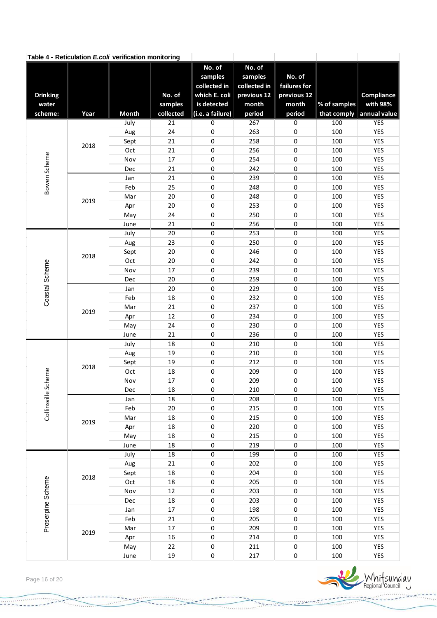|                     |      | Table 4 - Reticulation E.coli verification monitoring |                 |                                                    |                                                  |                                       |              |              |
|---------------------|------|-------------------------------------------------------|-----------------|----------------------------------------------------|--------------------------------------------------|---------------------------------------|--------------|--------------|
| <b>Drinking</b>     |      |                                                       | No. of          | No. of<br>samples<br>collected in<br>which E. coli | No. of<br>samples<br>collected in<br>previous 12 | No. of<br>failures for<br>previous 12 |              | Compliance   |
| water               |      |                                                       | samples         | is detected                                        | month                                            | month                                 | % of samples | with 98%     |
| scheme:             | Year | <b>Month</b>                                          | collected       | (i.e. a failure)                                   | period                                           | period                                | that comply  | annual value |
|                     |      | July                                                  | $\overline{21}$ | $\mathbf 0$                                        | 267                                              | 0                                     | 100          | <b>YES</b>   |
|                     |      | Aug                                                   | 24              | 0                                                  | 263                                              | 0                                     | 100          | YES          |
|                     | 2018 | Sept                                                  | 21              | 0                                                  | 258                                              | 0                                     | 100          | <b>YES</b>   |
|                     |      | Oct                                                   | 21              | $\mathbf 0$                                        | 256                                              | 0                                     | 100          | YES          |
|                     |      | Nov                                                   | 17              | $\mathbf 0$                                        | 254                                              | 0                                     | 100          | YES          |
|                     |      | Dec                                                   | 21              | $\mathbf 0$                                        | 242                                              | 0                                     | 100          | YES          |
| Bowen Scheme        |      | Jan                                                   | 21              | 0                                                  | 239                                              | $\pmb{0}$                             | 100          | YES          |
|                     |      | Feb                                                   | 25              | 0                                                  | 248                                              | $\pmb{0}$                             | 100          | YES          |
|                     | 2019 | Mar                                                   | 20              | 0                                                  | 248                                              | 0                                     | 100          | YES          |
|                     |      | Apr                                                   | 20              | 0                                                  | 253                                              | 0                                     | 100          | YES          |
|                     |      | May                                                   | 24              | 0                                                  | 250                                              | $\pmb{0}$                             | 100          | YES          |
|                     |      | June                                                  | 21              | 0                                                  | 256                                              | 0                                     | 100          | YES          |
|                     |      | July                                                  | 20              | $\mathbf 0$                                        | 253                                              | $\pmb{0}$                             | 100          | YES          |
|                     |      | Aug                                                   | 23              | 0                                                  | 250                                              | 0                                     | 100          | YES          |
|                     | 2018 | Sept                                                  | 20              | $\mathbf 0$                                        | 246                                              | 0                                     | 100          | YES          |
| Coastal Scheme      |      | Oct                                                   | 20<br>17        | $\boldsymbol{0}$<br>0                              | 242<br>239                                       | 0                                     | 100<br>100   | YES<br>YES   |
|                     |      | Nov                                                   | 20              | 0                                                  | 259                                              | 0                                     | 100          | YES          |
|                     |      | Dec<br>Jan                                            | 20              | 0                                                  | 229                                              | 0<br>0                                | 100          | YES          |
|                     |      | Feb                                                   | 18              | 0                                                  | 232                                              | 0                                     | 100          | YES          |
|                     |      | Mar                                                   | 21              | 0                                                  | 237                                              | $\pmb{0}$                             | 100          | YES          |
|                     | 2019 | Apr                                                   | 12              | 0                                                  | 234                                              | $\pmb{0}$                             | 100          | YES          |
|                     |      | May                                                   | 24              | 0                                                  | 230                                              | 0                                     | 100          | YES          |
|                     |      | June                                                  | 21              | 0                                                  | 236                                              | 0                                     | 100          | YES          |
|                     |      | July                                                  | 18              | 0                                                  | 210                                              | $\pmb{0}$                             | 100          | YES          |
|                     |      | Aug                                                   | 19              | 0                                                  | 210                                              | $\pmb{0}$                             | 100          | YES          |
|                     |      | Sept                                                  | 19              | 0                                                  | 212                                              | $\pmb{0}$                             | 100          | YES          |
|                     | 2018 | Oct                                                   | 18              | 0                                                  | 209                                              | 0                                     | 100          | <b>YES</b>   |
|                     |      | Nov                                                   | $17\,$          | 0                                                  | 209                                              | 0                                     | 100          | YES          |
| Collinsville Scheme |      | Dec                                                   | 18              | $\pmb{0}$                                          | 210                                              | $\pmb{0}$                             | 100          | YES          |
|                     |      | Jan                                                   | 18              | $\pmb{0}$                                          | 208                                              | $\pmb{0}$                             | 100          | YES          |
|                     |      | Feb                                                   | 20              | $\pmb{0}$                                          | 215                                              | $\pmb{0}$                             | 100          | YES          |
|                     |      | Mar                                                   | 18              | $\pmb{0}$                                          | 215                                              | $\pmb{0}$                             | 100          | YES          |
|                     | 2019 | Apr                                                   | $18\,$          | $\pmb{0}$                                          | 220                                              | $\pmb{0}$                             | 100          | YES          |
|                     |      | May                                                   | 18              | 0                                                  | 215                                              | 0                                     | 100          | YES          |
|                     |      | June                                                  | 18              | $\pmb{0}$                                          | 219                                              | $\pmb{0}$                             | 100          | YES          |
|                     |      | July                                                  | 18              | 0                                                  | 199                                              | $\pmb{0}$                             | 100          | YES          |
|                     |      | Aug                                                   | 21              | $\pmb{0}$                                          | 202                                              | $\pmb{0}$                             | 100          | YES          |
|                     |      | Sept                                                  | 18              | $\pmb{0}$                                          | 204                                              | $\pmb{0}$                             | 100          | YES          |
|                     | 2018 | Oct                                                   | 18              | 0                                                  | 205                                              | $\pmb{0}$                             | 100          | YES          |
|                     |      | Nov                                                   | 12              | 0                                                  | 203                                              | $\pmb{0}$                             | 100          | YES          |
| Proserpine Scheme   |      | Dec                                                   | 18              | $\pmb{0}$                                          | 203                                              | $\pmb{0}$                             | 100          | YES          |
|                     |      | Jan                                                   | 17              | $\pmb{0}$                                          | 198                                              | $\pmb{0}$                             | 100          | YES          |
|                     |      | Feb                                                   | 21              | $\pmb{0}$                                          | 205                                              | $\pmb{0}$                             | 100          | YES          |
|                     | 2019 | Mar                                                   | 17              | $\pmb{0}$                                          | 209                                              | $\pmb{0}$                             | 100          | YES          |
|                     |      | Apr                                                   | $16\,$          | 0                                                  | 214                                              | $\pmb{0}$                             | 100          | YES          |
|                     |      | May                                                   | 22              | $\pmb{0}$                                          | 211                                              | $\pmb{0}$                             | 100          | YES          |
|                     |      | June                                                  | 19              | $\pmb{0}$                                          | 217                                              | $\pmb{0}$                             | 100          | YES          |



 $1.111$ 

u

**Standard**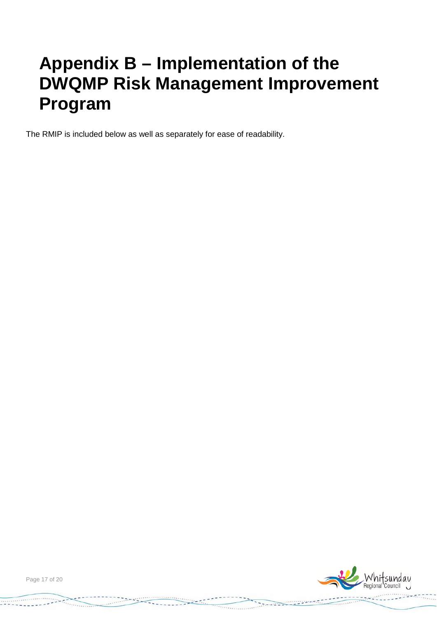### <span id="page-16-0"></span>**Appendix B – Implementation of the DWQMP Risk Management Improvement Program**

The RMIP is included below as well as separately for ease of readability.



Page 17 of 20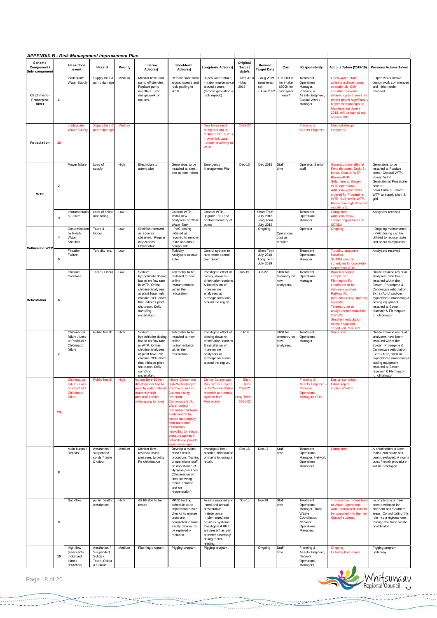| <b>APPENDIX B - Risk Management Improvement Plan</b> |                         |                                                                           |                                                                   |          |                                                                                                                                                                                                               |                                                                                                                                                                                                                                                                                                   |                                                                                                                                                                                                              |                                                 |                                                                 |                                                                       |                                                                                                         |                                                                                                                                                                                                                                                                                                              |                                                                                                                                                                                                                                                                        |
|------------------------------------------------------|-------------------------|---------------------------------------------------------------------------|-------------------------------------------------------------------|----------|---------------------------------------------------------------------------------------------------------------------------------------------------------------------------------------------------------------|---------------------------------------------------------------------------------------------------------------------------------------------------------------------------------------------------------------------------------------------------------------------------------------------------|--------------------------------------------------------------------------------------------------------------------------------------------------------------------------------------------------------------|-------------------------------------------------|-----------------------------------------------------------------|-----------------------------------------------------------------------|---------------------------------------------------------------------------------------------------------|--------------------------------------------------------------------------------------------------------------------------------------------------------------------------------------------------------------------------------------------------------------------------------------------------------------|------------------------------------------------------------------------------------------------------------------------------------------------------------------------------------------------------------------------------------------------------------------------|
| <b>Scheme</b><br>Component /<br>Sub-component        |                         | Hazardous<br>event                                                        | Hazard                                                            | Priority | Interim<br>Action(s)                                                                                                                                                                                          | Short-term<br>Action(s)                                                                                                                                                                                                                                                                           | Long-term Action(s)                                                                                                                                                                                          | Original<br>Target<br>date/s                    | Revised<br><b>Target Date</b>                                   | Cost                                                                  | Responsibility                                                                                          | Actions Taken (2018-19)                                                                                                                                                                                                                                                                                      | <b>Previous Actions Taken</b>                                                                                                                                                                                                                                          |
| Catchment<br>Proserpine<br>River                     | $\mathbf{1}$            | Inadequate<br>Water Supply                                                | Supply loss &<br>pump damage                                      | Medium   | Monitor flows and<br>pump efficiencies.<br>Replace pump<br>impellers. Start<br>design work on<br>options.                                                                                                     | Remove sand from<br>around spears and<br>rock gabling in<br>2018                                                                                                                                                                                                                                  | -Open water intake,<br>- major maintenance<br>around spears<br>(remove geo-fabric &<br>rock repack)                                                                                                          | - Nov 201<br>- May<br>2019                      | - Aug 2019<br>(maintenan<br>ce)<br>- June 2022                  | <b>Est \$800K</b><br>for intake<br>\$500K for<br>river spear<br>maint | Treatment<br>Operations<br>Manager,<br>Planning &<br>Assets Engineer,<br>Capital Works<br>Manager       | Open water intake<br>utilising a diesel pump<br>operational. Civil<br>construction works<br>delayed up to 3 years as<br>tender prices significantly<br>higher than anticipated.<br>Maintenance done in<br>2018, will be carried out<br>again 2019.                                                           | - Open water intake<br>design work commenced<br>and initial tender<br>released                                                                                                                                                                                         |
| Reticulation                                         | 30                      | Inadequate<br><b>Water Supply</b>                                         | Supply loss &<br>pump damage                                      | Medium   |                                                                                                                                                                                                               |                                                                                                                                                                                                                                                                                                   | New bores (and<br>pump station) to<br>replace Bore 1, 2, 3<br>- lower risk water<br>- closer proximity to<br><b>WTP</b>                                                                                      | 2022-23                                         |                                                                 |                                                                       | Planning &<br><b>Assets Engineer</b>                                                                    | Concept design<br>completed                                                                                                                                                                                                                                                                                  |                                                                                                                                                                                                                                                                        |
| <b>WTP</b>                                           | $\mathbf 2$             | Power failure                                                             | Loss of<br>supply                                                 | High     | Electrician to<br>attend site                                                                                                                                                                                 | Generators to be<br>installed at sites,<br>see actions taken                                                                                                                                                                                                                                      | Emergency<br>Management Plan                                                                                                                                                                                 | Dec-16                                          | Dec 2019                                                        | Staff<br>time                                                         | Operator; Senior<br>staff                                                                               | Generators installed at<br>Foxdale bores, Dodd St<br>bores, Coastal WTP,<br>Bowen WTP.<br>Solar farm at Bowen<br>WTP operational.<br><b>Additional generators</b><br>ordered for Proserpine<br>WTP, Collinsville WTP,<br>Proserpine high lift and a<br>mobile unit                                           | Generators to be<br>installed at Foxdale<br>bores, Coastal WTP,<br>Bowen WTP<br>Generator at Proserpine<br>booster<br>Solar Farm at Bowen<br>WTP to supply plant &<br>grid                                                                                             |
|                                                      | 3                       | Instrumentatio<br>n Failure                                               | Loss of online<br>monitoring                                      | Low      |                                                                                                                                                                                                               | Coastal WTP -<br>Install new<br>analysers at Clear<br>Water Tank                                                                                                                                                                                                                                  | Coastal WTP -<br>upgrade PLC and<br>control telemetry at<br>bores                                                                                                                                            |                                                 | Short Term<br><b>July 2018</b><br>Long Term<br>July 2019        |                                                                       | Treatment<br>Operations<br>Manager                                                                      | Completed.<br>Additional work -<br>connecting all bores to<br><b>SCADA</b>                                                                                                                                                                                                                                   | Analysers received                                                                                                                                                                                                                                                     |
| <b>Collinsville WTP</b>                              | $\overline{\mathbf{4}}$ | Contamination<br>by Fresh<br>Water<br>Shellfish                           | Taste &<br>Odour                                                  | Low      | Shellfish removed<br>as soon as<br>observed. Regular<br>inspections.<br><b>Chlorination</b>                                                                                                                   | - PAC dosing<br>initiated as<br>required to remove<br>taste and odour<br>compounds                                                                                                                                                                                                                |                                                                                                                                                                                                              |                                                 | Ongoing                                                         | Operational<br>cost as<br>required                                    | Operator                                                                                                | Ongoing                                                                                                                                                                                                                                                                                                      | - Ongoing maintenance<br>- PAC dosing can be<br>utilised to reduce taste<br>and odour compounds                                                                                                                                                                        |
|                                                      | 5                       | Filtration<br>Failure                                                     | Turbidity etc.                                                    | Low      |                                                                                                                                                                                                               | Turbidity<br>Analysers at each<br>Filter                                                                                                                                                                                                                                                          | Control system to<br>have more control<br>over plant                                                                                                                                                         |                                                 | Short Term<br><b>July 2018</b><br>Long Term<br><b>July 2019</b> |                                                                       | Treatment<br>Operations<br>Manager                                                                      | <b>Turbidity analysers</b><br>installed.<br><b>SCADA</b> control<br>scheduled for completion                                                                                                                                                                                                                 | Analysers received                                                                                                                                                                                                                                                     |
| <b>Reticulation</b>                                  | 6                       | Chlorine<br>Overdose                                                      | Taste / Odour                                                     | Low      | Sodium<br>hypochlorite dosing<br>based on flow rate<br>in WTP. Online<br>chlorine analysers<br>at plant have high<br>chlorine CCP alarm<br>that initiates plant<br>shutdown. Daily<br>sampling<br>undertaken. | Telemetry to be<br>installed to new<br>online<br>instrumentation<br>within the<br>reticulation.                                                                                                                                                                                                   | Investigate effect of<br>closing down re-<br>chlorination stations<br>& installation of<br>more online<br>analysers at<br>strategic locations<br>around the region.                                          | Jun-19                                          | $Jun-22$                                                        | \$10K for<br>telemetry or<br>new<br>analysers.                        | Treatment<br>Operations<br>Manager                                                                      | September 2019<br>Bowen reservoir<br>completed.<br><b>Flemington Rd</b><br>chlorinator to be<br>decommissioned.<br><b>Railway Rd</b><br>(Merinda)dosing stations<br>upgraded.<br>Telemetry for all<br>analysers scheculed for<br>2021-22.<br>Southern reticulation<br>network upgrade<br>scheduled, See #29. | Online chlorine residual<br>analysers have been<br>installed within the<br>Bowen, Proserpine &<br>Cannonvale reticulation.<br>Extra (Auto) sodium<br>hypochlorite monitoring &<br>dosing equipment<br>installed at Bowen<br>reservoir & Flemington<br>rd. chlorinator. |
|                                                      | $\overline{7}$          | Chlorination<br>failure / Loss<br>of Residual /<br>Chlorinator<br>failure | Public health                                                     | High     | Sodium<br>hypochlorite dosing<br>based on flow rate<br>in WTP. Online<br>chlorine analysers<br>at plant have low<br>chlorine CCP alarm<br>that initiates plant<br>shutdown. Daily<br>sampling<br>undertaken.  | Telemetry to be<br>installed to new<br>online<br>instrumentation<br>within the<br>reticulation.                                                                                                                                                                                                   | Investigate effect of<br>closing down re-<br>chlorination stations<br>& installation of<br>more online<br>analysers at<br>strategic locations<br>around the region.                                          | $Jul-19$                                        |                                                                 | \$10K for<br>telemetry or<br>new<br>analysers.                        | Treatment<br>Operations<br>Manager                                                                      | See above.                                                                                                                                                                                                                                                                                                   | Online chlorine residual<br>analysers have been<br>installed within the<br>Bowen, Proserpine &<br>Cannonvale reticulation.<br>Extra (Auto) sodium<br>hypochlorite monitoring &<br>dosing equipment<br>installed at Bowen<br>reservoir & Flemington<br>rd. chlorinator. |
|                                                      | 29                      | failure / Loss<br>of Residual /<br>Chlorinator<br>failure                 | Chlorination Public health                                        | High     | <b>Isolate Bore 10 from</b> Initiate Cannonvale<br>direct connection to<br>potable water network<br>(currently high<br>pressure potable<br>water going to bore)                                               | <b>Bulk Water Project</b><br>Purchase land for<br><b>Cannon Valley</b><br>Reservoir.<br>Cannonvale Bulk<br>Water porject -<br>Cannonvale network<br>configuration to<br>isolate bulk supply<br>from trunk and<br>reticulation<br>networks, to reduce<br>pressure spikes in<br>network and provide | <b>Deliver Cannonvale</b><br><b>Bulk Water Project,</b><br>build Cannon Valley<br>reservoir and renew<br>pipeline from<br>Proserpine.                                                                        | Short<br>Term<br>2020-21<br>ong Term<br>2021-22 |                                                                 |                                                                       | Planning &<br><b>Assets Engineer</b><br>Network<br><b>Operations</b><br>Managers COO.                   | Design complete.<br>Initial project<br>implementation.                                                                                                                                                                                                                                                       |                                                                                                                                                                                                                                                                        |
|                                                      | 8                       | Main bursts /<br>Repairs                                                  | Aesthetics /<br>suspended<br>solids / taste<br>& odour            | Medium   | Monitor flow,<br>reservoir levels,<br>pressure, turbidity.<br>Re-chlorination                                                                                                                                 | qual water age<br>Develop a mains<br>burst / repair<br>procedure. Training<br>of operations staff<br>on importance of<br>Hygiene practices<br>(Chlorination of<br>lines following<br>repair, chlorine<br>test on<br>reconnection)                                                                 | Investigate best-<br>practice chlorination<br>of mains following a<br>repair.                                                                                                                                | Dec-16                                          | Dec-17                                                          | Staff<br>time                                                         | Treatment<br>Operations<br>Manager, Network<br>Operations<br>Managers                                   | Completed.                                                                                                                                                                                                                                                                                                   | A chlorination of New<br>mains procedure has<br>been developed. A mains<br>burst / repair procedure<br>will be developed.                                                                                                                                              |
|                                                      | 9                       | Backflow                                                                  | public health<br>Aesthetics                                       | High     | All RPZDs to be<br>tested                                                                                                                                                                                     | RPZD testing<br>schedule to be<br>implemented with<br>checks to ensure<br>tests are<br>completed in time.<br>Faulty devices to<br>be repaired or<br>replaced.                                                                                                                                     | Assets mapped and<br>listed and annual<br>preventative<br>maintenance<br>implemented into<br>councils systems.<br>Investigate if RPZ<br>are present as part<br>of meter assembly<br>during meter<br>reading. | Nov-15                                          | Nov-19                                                          | Staff<br>time                                                         | Treatment<br>Operations<br>Manager, Trade<br>Waste<br>Coordinator,<br>Network<br>Operations<br>Managers | This role has moved back<br>to Water Operations.<br>Audit completed, lists to<br>be compiled into the new<br>Council system.                                                                                                                                                                                 | Incomplete lists have<br>been developed for<br>Northern and Southern<br>areas. Consolidating this<br>role into a regional one<br>through the trade waste<br>coordinator.                                                                                               |
|                                                      | 10                      | High flow<br>(sediments<br>mobilised,<br>slimes<br>detached)              | Aesthetics /<br>Suspended<br>Solids /<br>Taste, Odour<br>& Colour | Medium   | Flushing program                                                                                                                                                                                              | Pigging program                                                                                                                                                                                                                                                                                   | Pigging program                                                                                                                                                                                              |                                                 | Ongoing                                                         | Staff<br>time                                                         | Planning &<br>Assets Engineer,<br>Network<br>Operations<br>Manager                                      | Ongoing<br>Includes bore mains.                                                                                                                                                                                                                                                                              | Pigging program<br>underway                                                                                                                                                                                                                                            |



 $1.111$ 

*Change of the State of the State of the State of the State of the State of the State of the State of the State of the State of the State of the State of the State of the State of the State of the State of the State of th* 

421

u

**Standard** 

. . . . . . . . . . . .

 $1.1111111111$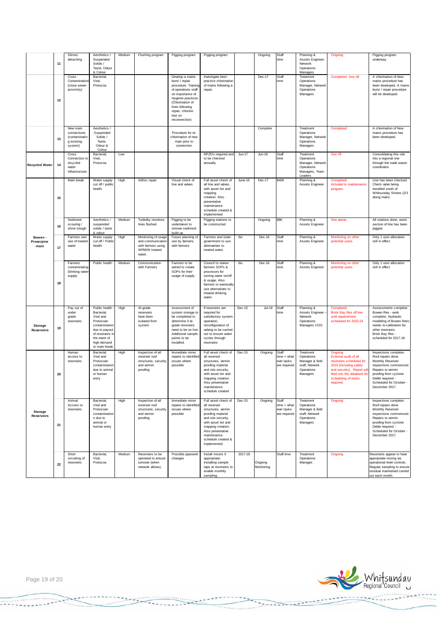|                                     | 11 | Slimes<br>detaching                                                      | Aesthetics /<br>Suspended<br>Solids /<br>Taste, Odour<br>& Colour                                                                                           | Medium | Flushing program                                                                         | Pigging program                                                                                                                                                                                                 | Pigging program                                                                                                                                                                                                            |         | Ongoing               | Staff<br>time                                      | Planning &<br>Assets Engineer,<br>Network<br>Operations<br>Managers                    | Ongoing                                                                                                                                                                               | Pigging program<br>underway                                                                                                                                                                               |
|-------------------------------------|----|--------------------------------------------------------------------------|-------------------------------------------------------------------------------------------------------------------------------------------------------------|--------|------------------------------------------------------------------------------------------|-----------------------------------------------------------------------------------------------------------------------------------------------------------------------------------------------------------------|----------------------------------------------------------------------------------------------------------------------------------------------------------------------------------------------------------------------------|---------|-----------------------|----------------------------------------------------|----------------------------------------------------------------------------------------|---------------------------------------------------------------------------------------------------------------------------------------------------------------------------------------|-----------------------------------------------------------------------------------------------------------------------------------------------------------------------------------------------------------|
|                                     | 12 | Cross<br>Contamination<br>(close sewer<br>proximity)                     | Bacterial,<br>Viral,<br>Protozoa                                                                                                                            |        |                                                                                          | Develop a mains<br>burst / repair<br>procedure. Training<br>of operations staff<br>on importance of<br>Hygiene practices<br>(Chlorination of<br>lines following<br>repair, chlorine<br>test on<br>reconnection) | Investigate best-<br>practice chlorination<br>of mains following a<br>repair.                                                                                                                                              |         | Dec-17                | Staff<br>time                                      | Treatment<br>Operations<br>Manager, Network<br>Operations<br>Managers                  | Completed. See #8                                                                                                                                                                     | A chlorination of New<br>mains procedure has<br>been developed. A mains<br>burst / repair procedure<br>will be developed.                                                                                 |
|                                     | 13 | New main<br>connections<br><i>(contaminatin</i><br>g existing<br>system) | Aesthetics /<br>Suspended<br>Solids /<br>Taste,<br>Odour &<br>Colour                                                                                        |        |                                                                                          | Procedure for re-<br>chlorination of new<br>main prior to<br>connection                                                                                                                                         |                                                                                                                                                                                                                            |         | Complete              |                                                    | Treatment<br>Operations<br>Manager, Network<br>Operations<br>Managers                  | Completed.                                                                                                                                                                            | A chlorination of New<br>mains procedure has<br>been developed.                                                                                                                                           |
| <b>Recycled Water</b>               | 14 | Cross<br>Connection to<br>recycled<br>water<br>infrastructure            | Bacterial,<br>Viral,<br>Protozoa                                                                                                                            | Low    |                                                                                          |                                                                                                                                                                                                                 | RPZD's required and<br>to be checked<br>annually                                                                                                                                                                           | Jun-17  | $Jun-18$              | Staff<br>time                                      | Treatment<br>Operations<br>Manager, Network<br>Operations<br>Managers, Team<br>Leaders | See #9                                                                                                                                                                                | Consolidating this role<br>into a regional one<br>through the trade waste<br>coordinator.                                                                                                                 |
|                                     | 15 | Main break                                                               | Water supply<br>cut off / public<br>health                                                                                                                  | High   | Adhoc repair                                                                             | Visual check of<br>line and valves.                                                                                                                                                                             | Full asset check of<br>all line and valves,<br>with asset list and<br>mapping<br>creation. Also<br>preventative<br>maintenance<br>schedule created &<br>implemented                                                        | June-16 | Dec-17                | \$40K                                              | Planning &<br>Assets Engineer                                                          | Completed.<br>Included in maintenance<br>program.                                                                                                                                     | Line has been checked;<br>Check valve being<br>installed south of<br>Whitsunday Shores (2/3<br>along main)                                                                                                |
|                                     | 16 | Sediment<br>scouring /<br>slime slough                                   | Aesthetics /<br>suspended<br>solids / taste<br>& odour                                                                                                      | Medium | Turbidity monitors;<br>lines flushed                                                     | Pigging to be<br>undertaken to<br>remove sediment<br>build up                                                                                                                                                   | Pigging stations to<br>be constructed                                                                                                                                                                                      |         | Ongoing               | \$8K                                               | Planning &<br>Assets Engineer                                                          | See above.                                                                                                                                                                            | All stations done, worst<br>section of line has been<br>pigged.                                                                                                                                           |
| Bowen -<br>Proserpine<br>main       | 17 | Farmers over<br>use of treated<br>water                                  | Water supply<br>cut-off / Public<br>health                                                                                                                  | High   | Monitoring of usage<br>and communication<br>with farmers using<br>WRWW treated<br>water. | Future planning of<br>use by farmers,<br>with farmers                                                                                                                                                           | Farmers and state<br>government to use<br>alternatives to<br>treated water.                                                                                                                                                | tbc     | Dec-16                | Staff<br>time                                      | Planning &<br>Assets Engineer                                                          | Monitoring on other<br>potential users.                                                                                                                                               | Only 1 user allocation<br>still in effect                                                                                                                                                                 |
|                                     | 18 | Farmers<br>contaminating<br>Drinking water<br>supply                     | Public health                                                                                                                                               | Medium | Communication<br>with Farmers                                                            | Farmers to be<br>asked to create<br>SOPs for their<br>usage of supply                                                                                                                                           | Council to review<br>farmers SOPs &<br>processes for<br>turning water on/off<br>& usage. Also<br>farmers to eventually<br>use alternatives to<br>treated drinking<br>water.                                                | tbc     | Dec-16                | Staff<br>ime                                       | Planning &<br>Assets Engineer                                                          | Monitoring on other<br>potential users.                                                                                                                                               | Only 1 user allocation<br>still in effect                                                                                                                                                                 |
| <b>Storage</b><br><b>Reservoirs</b> | 19 | Pay out of<br>under<br>grade<br>reservoirs.                              | Public health<br>Bacterial,<br>Viral and<br>Protozoan<br>contamination<br>due to payout<br>of reservoirs in<br>the event of<br>high demand<br>or main break | High   | At-grade<br>reservoirs<br>have been<br>isolated from<br>system                           | Assessment of<br>system storage to<br>be completed to<br>determine if at-<br>grade reservoirs<br>need to be on line.<br>Additional sample<br>points to be<br>installed.                                         | If reservoirs are<br>required for<br>satisfactory system<br>operation,<br>reconfiguration of<br>valving to be carried<br>out to ensure water<br>cycles through<br>reservoirs                                               | Dec-15  | $Jul-18$              | Staff<br>time                                      | Planning &<br>Assets Engineer<br>Network<br>Operations<br>Managers COO.                | Completed.<br><b>Brisk Bay Res off line</b><br>until repalcement<br>scheduled for 2023-24                                                                                             | Assessments complete.<br>Bowen Res - work<br>complete. Hydraulic<br>modelling of Bowen Retic<br>needs re-calibration for<br>other reservoirs.<br>Brisk Bay Res -<br>scheduled for 2017-18                 |
|                                     | 20 | Human<br>access to<br>reservoirs                                         | Bacterial.<br>Viral and<br>Protozoan<br>contamination<br>due to animal<br>or human<br>entry                                                                 | High   | Inspection of all<br>reservoir roof<br>structures, security<br>and vermin<br>proofing    | Immediate minor<br>repairs to identified<br>issues where<br>possible                                                                                                                                            | Full asset check of<br>all reservoir<br>structures, vermin<br>proofing material<br>and site security,<br>with asset list and<br>mapping creation.<br>Also preventative<br>maintenance<br>schedule created                  | Dec-15  | Ongoing               | Staff<br>time + what<br>ever tasks<br>are required | Treatment<br>Operations<br>Manager & field<br>staff, Network<br>Operations<br>Managers | Ongoing<br>External audit of all<br>reservoirs scheduled for<br>2019 (including safety<br>and security). Report wil<br>feed into the database for<br>scheduling of works<br>required. | Inspections complete.<br>Roof repairs done.<br>Monthly Reservoir<br>inspections commenced.<br>Repairs to vermin<br>proofing from cyclone<br>Debbi required -<br>Scheduled for October -<br>December 2017. |
| Storage<br><b>Reservoirs</b>        | 21 | Animal<br>Access to<br>reservoirs.                                       | Bacterial,<br>Viral and<br>Protozoan<br>contamination<br>n due to<br>animal or<br>human entry                                                               | High   | Inspection of all<br>reservoir roof<br>structures, security<br>and vermin<br>proofing    | Immediate minor<br>repairs to identified<br>issues where<br>possible                                                                                                                                            | Full asset check of<br>all reservoir<br>structures, vermin<br>proofing material<br>and site security,<br>with asset list and<br>mapping creation.<br>Also preventative<br>maintenance<br>schedule created &<br>implemented | Dec-15  | Ongoing               | Staff<br>time + what<br>ever tasks<br>are required | Treatment<br>Operations<br>Manager & field<br>staff, Network<br>Operations<br>Managers | Ongoing                                                                                                                                                                               | Inspections complete.<br>Roof repairs done.<br>Monthly Reservoir<br>inspections commenced.<br>Repairs to vermin<br>proofing from cyclone<br>Debbi required -<br>Scheduled for October -<br>December 2017. |
|                                     | 22 | Short<br>circuiting of<br>reservoirs                                     | Bacterial,<br>Viral.<br>Protozoa                                                                                                                            | Medium | Reservoirs to be<br>operated to ensure<br>turnover (when<br>network allows).             | Possible pipework<br>changes                                                                                                                                                                                    | Install mixers if<br>appropriate.<br>Installing sample<br>taps at reservoirs to<br>enable monthly<br>sampling.                                                                                                             | 2017-18 | Ongoing<br>Monitoring | Staff time                                         | Treatment<br>Operations<br>Manager.                                                    | Ongoing                                                                                                                                                                               | Reservoirs appear to have<br>appropriate mixing via<br>operational level controls.<br>Regular sampling to ensure<br>residual maintained carried<br>out each month.                                        |



u

**Standard** 

 $1.111$